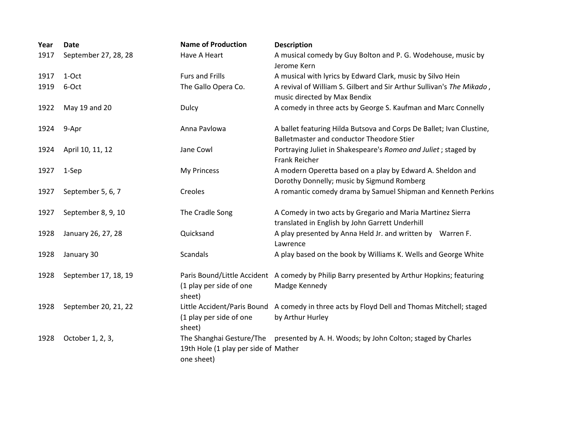| Year | <b>Date</b>          | <b>Name of Production</b>                                                      | <b>Description</b>                                                                                                |
|------|----------------------|--------------------------------------------------------------------------------|-------------------------------------------------------------------------------------------------------------------|
| 1917 | September 27, 28, 28 | Have A Heart                                                                   | A musical comedy by Guy Bolton and P. G. Wodehouse, music by<br>Jerome Kern                                       |
| 1917 | 1-Oct                | <b>Furs and Frills</b>                                                         | A musical with lyrics by Edward Clark, music by Silvo Hein                                                        |
| 1919 | 6-Oct                | The Gallo Opera Co.                                                            | A revival of William S. Gilbert and Sir Arthur Sullivan's The Mikado,<br>music directed by Max Bendix             |
| 1922 | May 19 and 20        | Dulcy                                                                          | A comedy in three acts by George S. Kaufman and Marc Connelly                                                     |
| 1924 | 9-Apr                | Anna Pavlowa                                                                   | A ballet featuring Hilda Butsova and Corps De Ballet; Ivan Clustine,<br>Balletmaster and conductor Theodore Stier |
| 1924 | April 10, 11, 12     | Jane Cowl                                                                      | Portraying Juliet in Shakespeare's Romeo and Juliet; staged by<br>Frank Reicher                                   |
| 1927 | 1-Sep                | My Princess                                                                    | A modern Operetta based on a play by Edward A. Sheldon and<br>Dorothy Donnelly; music by Sigmund Romberg          |
| 1927 | September 5, 6, 7    | Creoles                                                                        | A romantic comedy drama by Samuel Shipman and Kenneth Perkins                                                     |
| 1927 | September 8, 9, 10   | The Cradle Song                                                                | A Comedy in two acts by Gregario and Maria Martinez Sierra<br>translated in English by John Garrett Underhill     |
| 1928 | January 26, 27, 28   | Quicksand                                                                      | A play presented by Anna Held Jr. and written by Warren F.<br>Lawrence                                            |
| 1928 | January 30           | Scandals                                                                       | A play based on the book by Williams K. Wells and George White                                                    |
| 1928 | September 17, 18, 19 | (1 play per side of one<br>sheet)                                              | Paris Bound/Little Accident A comedy by Philip Barry presented by Arthur Hopkins; featuring<br>Madge Kennedy      |
| 1928 | September 20, 21, 22 | Little Accident/Paris Bound<br>(1 play per side of one<br>sheet)               | A comedy in three acts by Floyd Dell and Thomas Mitchell; staged<br>by Arthur Hurley                              |
| 1928 | October 1, 2, 3,     | The Shanghai Gesture/The<br>19th Hole (1 play per side of Mather<br>one sheet) | presented by A. H. Woods; by John Colton; staged by Charles                                                       |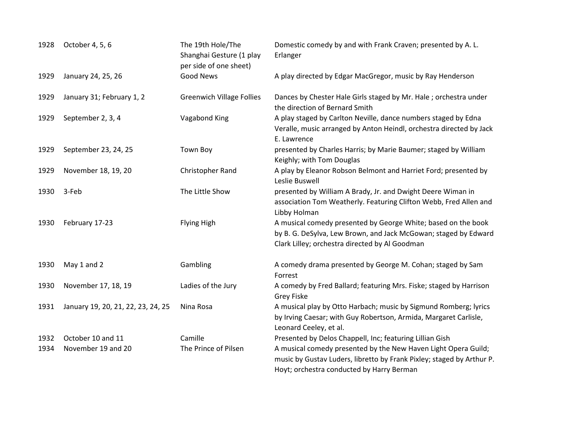| 1928         | October 4, 5, 6                         | The 19th Hole/The<br>Shanghai Gesture (1 play<br>per side of one sheet) | Domestic comedy by and with Frank Craven; presented by A. L.<br>Erlanger                                                                                                                                                                         |
|--------------|-----------------------------------------|-------------------------------------------------------------------------|--------------------------------------------------------------------------------------------------------------------------------------------------------------------------------------------------------------------------------------------------|
| 1929         | January 24, 25, 26                      | Good News                                                               | A play directed by Edgar MacGregor, music by Ray Henderson                                                                                                                                                                                       |
| 1929         | January 31; February 1, 2               | <b>Greenwich Village Follies</b>                                        | Dances by Chester Hale Girls staged by Mr. Hale; orchestra under<br>the direction of Bernard Smith                                                                                                                                               |
| 1929         | September 2, 3, 4                       | Vagabond King                                                           | A play staged by Carlton Neville, dance numbers staged by Edna<br>Veralle, music arranged by Anton Heindl, orchestra directed by Jack<br>E. Lawrence                                                                                             |
| 1929         | September 23, 24, 25                    | Town Boy                                                                | presented by Charles Harris; by Marie Baumer; staged by William<br>Keighly; with Tom Douglas                                                                                                                                                     |
| 1929         | November 18, 19, 20                     | Christopher Rand                                                        | A play by Eleanor Robson Belmont and Harriet Ford; presented by<br>Leslie Buswell                                                                                                                                                                |
| 1930         | 3-Feb                                   | The Little Show                                                         | presented by William A Brady, Jr. and Dwight Deere Wiman in<br>association Tom Weatherly. Featuring Clifton Webb, Fred Allen and<br>Libby Holman                                                                                                 |
| 1930         | February 17-23                          | Flying High                                                             | A musical comedy presented by George White; based on the book<br>by B. G. DeSylva, Lew Brown, and Jack McGowan; staged by Edward<br>Clark Lilley; orchestra directed by Al Goodman                                                               |
| 1930         | May 1 and 2                             | Gambling                                                                | A comedy drama presented by George M. Cohan; staged by Sam<br>Forrest                                                                                                                                                                            |
| 1930         | November 17, 18, 19                     | Ladies of the Jury                                                      | A comedy by Fred Ballard; featuring Mrs. Fiske; staged by Harrison<br><b>Grey Fiske</b>                                                                                                                                                          |
| 1931         | January 19, 20, 21, 22, 23, 24, 25      | Nina Rosa                                                               | A musical play by Otto Harbach; music by Sigmund Romberg; lyrics<br>by Irving Caesar; with Guy Robertson, Armida, Margaret Carlisle,<br>Leonard Ceeley, et al.                                                                                   |
| 1932<br>1934 | October 10 and 11<br>November 19 and 20 | Camille<br>The Prince of Pilsen                                         | Presented by Delos Chappell, Inc; featuring Lillian Gish<br>A musical comedy presented by the New Haven Light Opera Guild;<br>music by Gustav Luders, libretto by Frank Pixley; staged by Arthur P.<br>Hoyt; orchestra conducted by Harry Berman |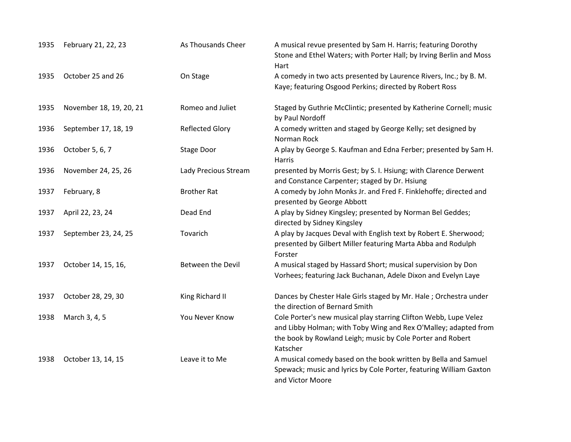| 1935 | February 21, 22, 23     | As Thousands Cheer     | A musical revue presented by Sam H. Harris; featuring Dorothy<br>Stone and Ethel Waters; with Porter Hall; by Irving Berlin and Moss<br>Hart                                                                  |
|------|-------------------------|------------------------|---------------------------------------------------------------------------------------------------------------------------------------------------------------------------------------------------------------|
| 1935 | October 25 and 26       | On Stage               | A comedy in two acts presented by Laurence Rivers, Inc.; by B. M.<br>Kaye; featuring Osgood Perkins; directed by Robert Ross                                                                                  |
| 1935 | November 18, 19, 20, 21 | Romeo and Juliet       | Staged by Guthrie McClintic; presented by Katherine Cornell; music<br>by Paul Nordoff                                                                                                                         |
| 1936 | September 17, 18, 19    | <b>Reflected Glory</b> | A comedy written and staged by George Kelly; set designed by<br>Norman Rock                                                                                                                                   |
| 1936 | October 5, 6, 7         | Stage Door             | A play by George S. Kaufman and Edna Ferber; presented by Sam H.<br>Harris                                                                                                                                    |
| 1936 | November 24, 25, 26     | Lady Precious Stream   | presented by Morris Gest; by S. I. Hsiung; with Clarence Derwent<br>and Constance Carpenter; staged by Dr. Hsiung                                                                                             |
| 1937 | February, 8             | <b>Brother Rat</b>     | A comedy by John Monks Jr. and Fred F. Finklehoffe; directed and<br>presented by George Abbott                                                                                                                |
| 1937 | April 22, 23, 24        | Dead End               | A play by Sidney Kingsley; presented by Norman Bel Geddes;<br>directed by Sidney Kingsley                                                                                                                     |
| 1937 | September 23, 24, 25    | Tovarich               | A play by Jacques Deval with English text by Robert E. Sherwood;<br>presented by Gilbert Miller featuring Marta Abba and Rodulph<br>Forster                                                                   |
| 1937 | October 14, 15, 16,     | Between the Devil      | A musical staged by Hassard Short; musical supervision by Don<br>Vorhees; featuring Jack Buchanan, Adele Dixon and Evelyn Laye                                                                                |
| 1937 | October 28, 29, 30      | King Richard II        | Dances by Chester Hale Girls staged by Mr. Hale; Orchestra under<br>the direction of Bernard Smith                                                                                                            |
| 1938 | March 3, 4, 5           | You Never Know         | Cole Porter's new musical play starring Clifton Webb, Lupe Velez<br>and Libby Holman; with Toby Wing and Rex O'Malley; adapted from<br>the book by Rowland Leigh; music by Cole Porter and Robert<br>Katscher |
| 1938 | October 13, 14, 15      | Leave it to Me         | A musical comedy based on the book written by Bella and Samuel<br>Spewack; music and lyrics by Cole Porter, featuring William Gaxton<br>and Victor Moore                                                      |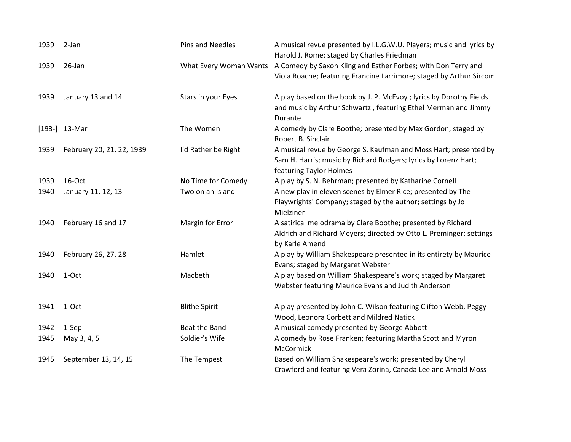| 1939 | 2-Jan                     | Pins and Needles       | A musical revue presented by I.L.G.W.U. Players; music and lyrics by<br>Harold J. Rome; staged by Charles Friedman                                             |
|------|---------------------------|------------------------|----------------------------------------------------------------------------------------------------------------------------------------------------------------|
| 1939 | 26-Jan                    | What Every Woman Wants | A Comedy by Saxon Kling and Esther Forbes; with Don Terry and<br>Viola Roache; featuring Francine Larrimore; staged by Arthur Sircom                           |
| 1939 | January 13 and 14         | Stars in your Eyes     | A play based on the book by J. P. McEvoy; lyrics by Dorothy Fields<br>and music by Arthur Schwartz, featuring Ethel Merman and Jimmy<br>Durante                |
|      | $[193-]$ 13-Mar           | The Women              | A comedy by Clare Boothe; presented by Max Gordon; staged by<br>Robert B. Sinclair                                                                             |
| 1939 | February 20, 21, 22, 1939 | I'd Rather be Right    | A musical revue by George S. Kaufman and Moss Hart; presented by<br>Sam H. Harris; music by Richard Rodgers; lyrics by Lorenz Hart;<br>featuring Taylor Holmes |
| 1939 | 16-Oct                    | No Time for Comedy     | A play by S. N. Behrman; presented by Katharine Cornell                                                                                                        |
| 1940 | January 11, 12, 13        | Two on an Island       | A new play in eleven scenes by Elmer Rice; presented by The<br>Playwrights' Company; staged by the author; settings by Jo<br>Mielziner                         |
| 1940 | February 16 and 17        | Margin for Error       | A satirical melodrama by Clare Boothe; presented by Richard<br>Aldrich and Richard Meyers; directed by Otto L. Preminger; settings<br>by Karle Amend           |
| 1940 | February 26, 27, 28       | Hamlet                 | A play by William Shakespeare presented in its entirety by Maurice<br>Evans; staged by Margaret Webster                                                        |
| 1940 | 1-Oct                     | Macbeth                | A play based on William Shakespeare's work; staged by Margaret<br>Webster featuring Maurice Evans and Judith Anderson                                          |
| 1941 | 1-Oct                     | <b>Blithe Spirit</b>   | A play presented by John C. Wilson featuring Clifton Webb, Peggy<br>Wood, Leonora Corbett and Mildred Natick                                                   |
| 1942 | 1-Sep                     | Beat the Band          | A musical comedy presented by George Abbott                                                                                                                    |
| 1945 | May 3, 4, 5               | Soldier's Wife         | A comedy by Rose Franken; featuring Martha Scott and Myron<br>McCormick                                                                                        |
| 1945 | September 13, 14, 15      | The Tempest            | Based on William Shakespeare's work; presented by Cheryl<br>Crawford and featuring Vera Zorina, Canada Lee and Arnold Moss                                     |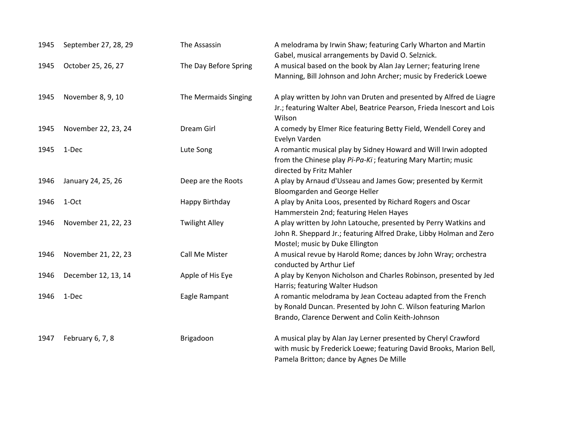| 1945 | September 27, 28, 29 | The Assassin          | A melodrama by Irwin Shaw; featuring Carly Wharton and Martin<br>Gabel, musical arrangements by David O. Selznick.                                                                 |
|------|----------------------|-----------------------|------------------------------------------------------------------------------------------------------------------------------------------------------------------------------------|
| 1945 | October 25, 26, 27   | The Day Before Spring | A musical based on the book by Alan Jay Lerner; featuring Irene<br>Manning, Bill Johnson and John Archer; music by Frederick Loewe                                                 |
| 1945 | November 8, 9, 10    | The Mermaids Singing  | A play written by John van Druten and presented by Alfred de Liagre<br>Jr.; featuring Walter Abel, Beatrice Pearson, Frieda Inescort and Lois<br>Wilson                            |
| 1945 | November 22, 23, 24  | Dream Girl            | A comedy by Elmer Rice featuring Betty Field, Wendell Corey and<br>Evelyn Varden                                                                                                   |
| 1945 | 1-Dec                | Lute Song             | A romantic musical play by Sidney Howard and Will Irwin adopted<br>from the Chinese play Pi-Pa-Ki; featuring Mary Martin; music<br>directed by Fritz Mahler                        |
| 1946 | January 24, 25, 26   | Deep are the Roots    | A play by Arnaud d'Usseau and James Gow; presented by Kermit<br>Bloomgarden and George Heller                                                                                      |
| 1946 | 1-Oct                | Happy Birthday        | A play by Anita Loos, presented by Richard Rogers and Oscar<br>Hammerstein 2nd; featuring Helen Hayes                                                                              |
| 1946 | November 21, 22, 23  | <b>Twilight Alley</b> | A play written by John Latouche, presented by Perry Watkins and<br>John R. Sheppard Jr.; featuring Alfred Drake, Libby Holman and Zero<br>Mostel; music by Duke Ellington          |
| 1946 | November 21, 22, 23  | Call Me Mister        | A musical revue by Harold Rome; dances by John Wray; orchestra<br>conducted by Arthur Lief                                                                                         |
| 1946 | December 12, 13, 14  | Apple of His Eye      | A play by Kenyon Nicholson and Charles Robinson, presented by Jed<br>Harris; featuring Walter Hudson                                                                               |
| 1946 | 1-Dec                | Eagle Rampant         | A romantic melodrama by Jean Cocteau adapted from the French<br>by Ronald Duncan. Presented by John C. Wilson featuring Marlon<br>Brando, Clarence Derwent and Colin Keith-Johnson |
| 1947 | February 6, 7, 8     | Brigadoon             | A musical play by Alan Jay Lerner presented by Cheryl Crawford<br>with music by Frederick Loewe; featuring David Brooks, Marion Bell,<br>Pamela Britton; dance by Agnes De Mille   |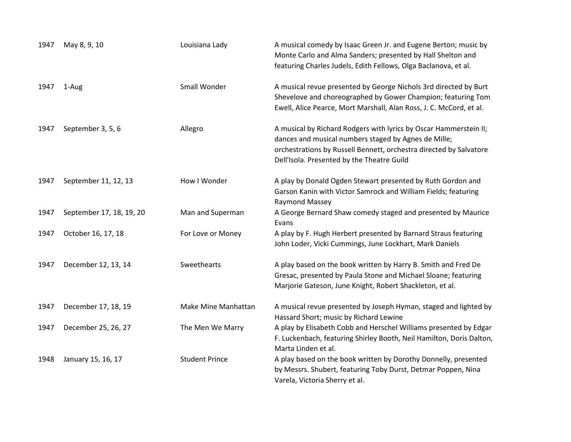| 1947 | May 8, 9, 10             | Louisiana Lady        | A musical comedy by Isaac Green Jr. and Eugene Berton; music by<br>Monte Carlo and Alma Sanders; presented by Hall Shelton and<br>featuring Charles Judels, Edith Fellows, Olga Baclanova, et al.                                             |
|------|--------------------------|-----------------------|-----------------------------------------------------------------------------------------------------------------------------------------------------------------------------------------------------------------------------------------------|
| 1947 | 1-Aug                    | Small Wonder          | A musical revue presented by George Nichols 3rd directed by Burt<br>Shevelove and choreographed by Gower Champion; featuring Tom<br>Ewell, Alice Pearce, Mort Marshall, Alan Ross, J. C. McCord, et al.                                       |
| 1947 | September 3, 5, 6        | Allegro               | A musical by Richard Rodgers with lyrics by Oscar Hammerstein II;<br>dances and musical numbers staged by Agnes de Mille;<br>orchestrations by Russell Bennett, orchestra directed by Salvatore<br>Dell'Isola. Presented by the Theatre Guild |
| 1947 | September 11, 12, 13     | How I Wonder          | A play by Donald Ogden Stewart presented by Ruth Gordon and<br>Garson Kanin with Victor Samrock and William Fields; featuring<br>Raymond Massey                                                                                               |
| 1947 | September 17, 18, 19, 20 | Man and Superman      | A George Bernard Shaw comedy staged and presented by Maurice<br>Evans                                                                                                                                                                         |
| 1947 | October 16, 17, 18       | For Love or Money     | A play by F. Hugh Herbert presented by Barnard Straus featuring<br>John Loder, Vicki Cummings, June Lockhart, Mark Daniels                                                                                                                    |
| 1947 | December 12, 13, 14      | Sweethearts           | A play based on the book written by Harry B. Smith and Fred De<br>Gresac, presented by Paula Stone and Michael Sloane; featuring<br>Marjorie Gateson, June Knight, Robert Shackleton, et al.                                                  |
| 1947 | December 17, 18, 19      | Make Mine Manhattan   | A musical revue presented by Joseph Hyman, staged and lighted by<br>Hassard Short; music by Richard Lewine                                                                                                                                    |
| 1947 | December 25, 26, 27      | The Men We Marry      | A play by Elisabeth Cobb and Herschel Williams presented by Edgar<br>F. Luckenbach, featuring Shirley Booth, Neil Hamilton, Doris Dalton,<br>Marta Linden et al.                                                                              |
| 1948 | January 15, 16, 17       | <b>Student Prince</b> | A play based on the book written by Dorothy Donnelly, presented<br>by Messrs. Shubert, featuring Toby Durst, Detmar Poppen, Nina<br>Varela, Victoria Sherry et al.                                                                            |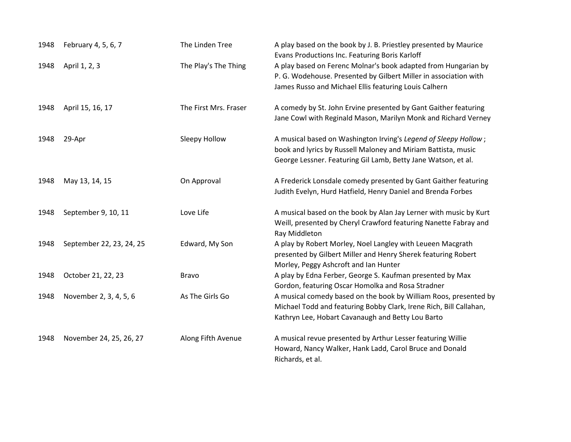| 1948 | February 4, 5, 6, 7      | The Linden Tree       | A play based on the book by J. B. Priestley presented by Maurice<br>Evans Productions Inc. Featuring Boris Karloff                                                                                |
|------|--------------------------|-----------------------|---------------------------------------------------------------------------------------------------------------------------------------------------------------------------------------------------|
| 1948 | April 1, 2, 3            | The Play's The Thing  | A play based on Ferenc Molnar's book adapted from Hungarian by<br>P. G. Wodehouse. Presented by Gilbert Miller in association with<br>James Russo and Michael Ellis featuring Louis Calhern       |
| 1948 | April 15, 16, 17         | The First Mrs. Fraser | A comedy by St. John Ervine presented by Gant Gaither featuring<br>Jane Cowl with Reginald Mason, Marilyn Monk and Richard Verney                                                                 |
| 1948 | 29-Apr                   | Sleepy Hollow         | A musical based on Washington Irving's Legend of Sleepy Hollow;<br>book and lyrics by Russell Maloney and Miriam Battista, music<br>George Lessner. Featuring Gil Lamb, Betty Jane Watson, et al. |
| 1948 | May 13, 14, 15           | On Approval           | A Frederick Lonsdale comedy presented by Gant Gaither featuring<br>Judith Evelyn, Hurd Hatfield, Henry Daniel and Brenda Forbes                                                                   |
| 1948 | September 9, 10, 11      | Love Life             | A musical based on the book by Alan Jay Lerner with music by Kurt<br>Weill, presented by Cheryl Crawford featuring Nanette Fabray and<br>Ray Middleton                                            |
| 1948 | September 22, 23, 24, 25 | Edward, My Son        | A play by Robert Morley, Noel Langley with Leueen Macgrath<br>presented by Gilbert Miller and Henry Sherek featuring Robert<br>Morley, Peggy Ashcroft and Ian Hunter                              |
| 1948 | October 21, 22, 23       | <b>Bravo</b>          | A play by Edna Ferber, George S. Kaufman presented by Max<br>Gordon, featuring Oscar Homolka and Rosa Stradner                                                                                    |
| 1948 | November 2, 3, 4, 5, 6   | As The Girls Go       | A musical comedy based on the book by William Roos, presented by<br>Michael Todd and featuring Bobby Clark, Irene Rich, Bill Callahan,<br>Kathryn Lee, Hobart Cavanaugh and Betty Lou Barto       |
| 1948 | November 24, 25, 26, 27  | Along Fifth Avenue    | A musical revue presented by Arthur Lesser featuring Willie<br>Howard, Nancy Walker, Hank Ladd, Carol Bruce and Donald<br>Richards, et al.                                                        |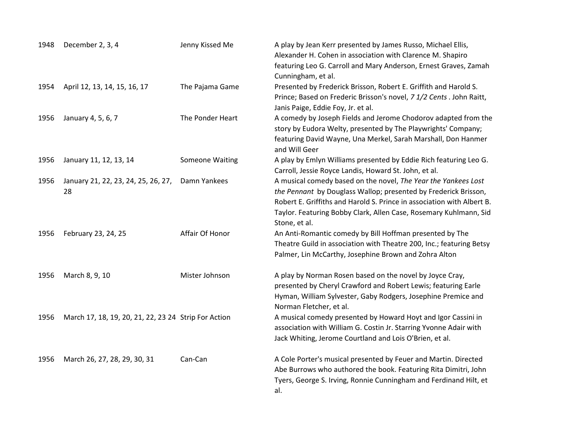| 1948 | December 2, 3, 4                                     | Jenny Kissed Me  | A play by Jean Kerr presented by James Russo, Michael Ellis,<br>Alexander H. Cohen in association with Clarence M. Shapiro<br>featuring Leo G. Carroll and Mary Anderson, Ernest Graves, Zamah<br>Cunningham, et al.                                                                              |
|------|------------------------------------------------------|------------------|---------------------------------------------------------------------------------------------------------------------------------------------------------------------------------------------------------------------------------------------------------------------------------------------------|
| 1954 | April 12, 13, 14, 15, 16, 17                         | The Pajama Game  | Presented by Frederick Brisson, Robert E. Griffith and Harold S.<br>Prince; Based on Frederic Brisson's novel, 7 1/2 Cents . John Raitt,<br>Janis Paige, Eddie Foy, Jr. et al.                                                                                                                    |
| 1956 | January 4, 5, 6, 7                                   | The Ponder Heart | A comedy by Joseph Fields and Jerome Chodorov adapted from the<br>story by Eudora Welty, presented by The Playwrights' Company;<br>featuring David Wayne, Una Merkel, Sarah Marshall, Don Hanmer<br>and Will Geer                                                                                 |
| 1956 | January 11, 12, 13, 14                               | Someone Waiting  | A play by Emlyn Williams presented by Eddie Rich featuring Leo G.<br>Carroll, Jessie Royce Landis, Howard St. John, et al.                                                                                                                                                                        |
| 1956 | January 21, 22, 23, 24, 25, 26, 27,<br>28            | Damn Yankees     | A musical comedy based on the novel, The Year the Yankees Lost<br>the Pennant by Douglass Wallop; presented by Frederick Brisson,<br>Robert E. Griffiths and Harold S. Prince in association with Albert B.<br>Taylor. Featuring Bobby Clark, Allen Case, Rosemary Kuhlmann, Sid<br>Stone, et al. |
| 1956 | February 23, 24, 25                                  | Affair Of Honor  | An Anti-Romantic comedy by Bill Hoffman presented by The<br>Theatre Guild in association with Theatre 200, Inc.; featuring Betsy<br>Palmer, Lin McCarthy, Josephine Brown and Zohra Alton                                                                                                         |
| 1956 | March 8, 9, 10                                       | Mister Johnson   | A play by Norman Rosen based on the novel by Joyce Cray,<br>presented by Cheryl Crawford and Robert Lewis; featuring Earle<br>Hyman, William Sylvester, Gaby Rodgers, Josephine Premice and<br>Norman Fletcher, et al.                                                                            |
| 1956 | March 17, 18, 19, 20, 21, 22, 23 24 Strip For Action |                  | A musical comedy presented by Howard Hoyt and Igor Cassini in<br>association with William G. Costin Jr. Starring Yvonne Adair with<br>Jack Whiting, Jerome Courtland and Lois O'Brien, et al.                                                                                                     |
| 1956 | March 26, 27, 28, 29, 30, 31                         | Can-Can          | A Cole Porter's musical presented by Feuer and Martin. Directed<br>Abe Burrows who authored the book. Featuring Rita Dimitri, John<br>Tyers, George S. Irving, Ronnie Cunningham and Ferdinand Hilt, et<br>al.                                                                                    |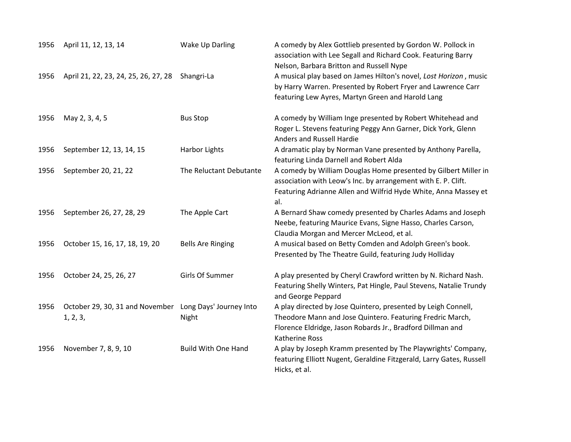| 1956 | April 11, 12, 13, 14                        | Wake Up Darling                  | A comedy by Alex Gottlieb presented by Gordon W. Pollock in<br>association with Lee Segall and Richard Cook. Featuring Barry<br>Nelson, Barbara Britton and Russell Nype                                          |
|------|---------------------------------------------|----------------------------------|-------------------------------------------------------------------------------------------------------------------------------------------------------------------------------------------------------------------|
| 1956 | April 21, 22, 23, 24, 25, 26, 27, 28        | Shangri-La                       | A musical play based on James Hilton's novel, Lost Horizon, music<br>by Harry Warren. Presented by Robert Fryer and Lawrence Carr<br>featuring Lew Ayres, Martyn Green and Harold Lang                            |
| 1956 | May 2, 3, 4, 5                              | <b>Bus Stop</b>                  | A comedy by William Inge presented by Robert Whitehead and<br>Roger L. Stevens featuring Peggy Ann Garner, Dick York, Glenn<br>Anders and Russell Hardie                                                          |
| 1956 | September 12, 13, 14, 15                    | <b>Harbor Lights</b>             | A dramatic play by Norman Vane presented by Anthony Parella,<br>featuring Linda Darnell and Robert Alda                                                                                                           |
| 1956 | September 20, 21, 22                        | The Reluctant Debutante          | A comedy by William Douglas Home presented by Gilbert Miller in<br>association with Leow's Inc. by arrangement with E. P. Clift.<br>Featuring Adrianne Allen and Wilfrid Hyde White, Anna Massey et<br>al.        |
| 1956 | September 26, 27, 28, 29                    | The Apple Cart                   | A Bernard Shaw comedy presented by Charles Adams and Joseph<br>Neebe, featuring Maurice Evans, Signe Hasso, Charles Carson,<br>Claudia Morgan and Mercer McLeod, et al.                                           |
| 1956 | October 15, 16, 17, 18, 19, 20              | <b>Bells Are Ringing</b>         | A musical based on Betty Comden and Adolph Green's book.<br>Presented by The Theatre Guild, featuring Judy Holliday                                                                                               |
| 1956 | October 24, 25, 26, 27                      | Girls Of Summer                  | A play presented by Cheryl Crawford written by N. Richard Nash.<br>Featuring Shelly Winters, Pat Hingle, Paul Stevens, Natalie Trundy<br>and George Peppard                                                       |
| 1956 | October 29, 30, 31 and November<br>1, 2, 3, | Long Days' Journey Into<br>Night | A play directed by Jose Quintero, presented by Leigh Connell,<br>Theodore Mann and Jose Quintero. Featuring Fredric March,<br>Florence Eldridge, Jason Robards Jr., Bradford Dillman and<br><b>Katherine Ross</b> |
| 1956 | November 7, 8, 9, 10                        | <b>Build With One Hand</b>       | A play by Joseph Kramm presented by The Playwrights' Company,<br>featuring Elliott Nugent, Geraldine Fitzgerald, Larry Gates, Russell<br>Hicks, et al.                                                            |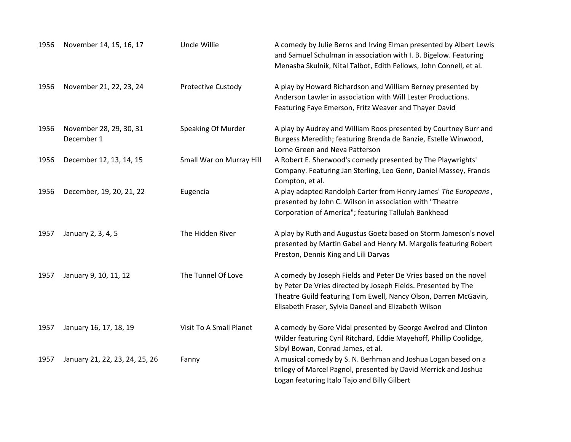| 1956 | November 14, 15, 16, 17               | Uncle Willie             | A comedy by Julie Berns and Irving Elman presented by Albert Lewis<br>and Samuel Schulman in association with I. B. Bigelow. Featuring<br>Menasha Skulnik, Nital Talbot, Edith Fellows, John Connell, et al.                                                |
|------|---------------------------------------|--------------------------|-------------------------------------------------------------------------------------------------------------------------------------------------------------------------------------------------------------------------------------------------------------|
| 1956 | November 21, 22, 23, 24               | Protective Custody       | A play by Howard Richardson and William Berney presented by<br>Anderson Lawler in association with Will Lester Productions.<br>Featuring Faye Emerson, Fritz Weaver and Thayer David                                                                        |
| 1956 | November 28, 29, 30, 31<br>December 1 | Speaking Of Murder       | A play by Audrey and William Roos presented by Courtney Burr and<br>Burgess Meredith; featuring Brenda de Banzie, Estelle Winwood,<br>Lorne Green and Neva Patterson                                                                                        |
| 1956 | December 12, 13, 14, 15               | Small War on Murray Hill | A Robert E. Sherwood's comedy presented by The Playwrights'<br>Company. Featuring Jan Sterling, Leo Genn, Daniel Massey, Francis<br>Compton, et al.                                                                                                         |
| 1956 | December, 19, 20, 21, 22              | Eugencia                 | A play adapted Randolph Carter from Henry James' The Europeans,<br>presented by John C. Wilson in association with "Theatre<br>Corporation of America"; featuring Tallulah Bankhead                                                                         |
| 1957 | January 2, 3, 4, 5                    | The Hidden River         | A play by Ruth and Augustus Goetz based on Storm Jameson's novel<br>presented by Martin Gabel and Henry M. Margolis featuring Robert<br>Preston, Dennis King and Lili Darvas                                                                                |
| 1957 | January 9, 10, 11, 12                 | The Tunnel Of Love       | A comedy by Joseph Fields and Peter De Vries based on the novel<br>by Peter De Vries directed by Joseph Fields. Presented by The<br>Theatre Guild featuring Tom Ewell, Nancy Olson, Darren McGavin,<br>Elisabeth Fraser, Sylvia Daneel and Elizabeth Wilson |
| 1957 | January 16, 17, 18, 19                | Visit To A Small Planet  | A comedy by Gore Vidal presented by George Axelrod and Clinton<br>Wilder featuring Cyril Ritchard, Eddie Mayehoff, Phillip Coolidge,<br>Sibyl Bowan, Conrad James, et al.                                                                                   |
| 1957 | January 21, 22, 23, 24, 25, 26        | Fanny                    | A musical comedy by S. N. Berhman and Joshua Logan based on a<br>trilogy of Marcel Pagnol, presented by David Merrick and Joshua<br>Logan featuring Italo Tajo and Billy Gilbert                                                                            |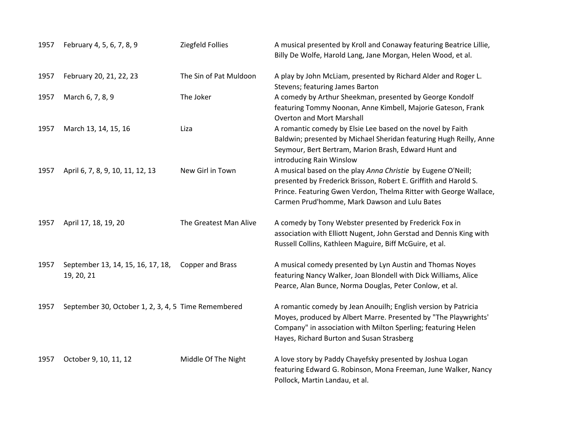| 1957 | February 4, 5, 6, 7, 8, 9                           | Ziegfeld Follies        | A musical presented by Kroll and Conaway featuring Beatrice Lillie,<br>Billy De Wolfe, Harold Lang, Jane Morgan, Helen Wood, et al.                                                                                                                    |
|------|-----------------------------------------------------|-------------------------|--------------------------------------------------------------------------------------------------------------------------------------------------------------------------------------------------------------------------------------------------------|
| 1957 | February 20, 21, 22, 23                             | The Sin of Pat Muldoon  | A play by John McLiam, presented by Richard Alder and Roger L.<br>Stevens; featuring James Barton                                                                                                                                                      |
| 1957 | March 6, 7, 8, 9                                    | The Joker               | A comedy by Arthur Sheekman, presented by George Kondolf<br>featuring Tommy Noonan, Anne Kimbell, Majorie Gateson, Frank<br><b>Overton and Mort Marshall</b>                                                                                           |
| 1957 | March 13, 14, 15, 16                                | Liza                    | A romantic comedy by Elsie Lee based on the novel by Faith<br>Baldwin; presented by Michael Sheridan featuring Hugh Reilly, Anne<br>Seymour, Bert Bertram, Marion Brash, Edward Hunt and<br>introducing Rain Winslow                                   |
| 1957 | April 6, 7, 8, 9, 10, 11, 12, 13                    | New Girl in Town        | A musical based on the play Anna Christie by Eugene O'Neill;<br>presented by Frederick Brisson, Robert E. Griffith and Harold S.<br>Prince. Featuring Gwen Verdon, Thelma Ritter with George Wallace,<br>Carmen Prud'homme, Mark Dawson and Lulu Bates |
| 1957 | April 17, 18, 19, 20                                | The Greatest Man Alive  | A comedy by Tony Webster presented by Frederick Fox in<br>association with Elliott Nugent, John Gerstad and Dennis King with<br>Russell Collins, Kathleen Maguire, Biff McGuire, et al.                                                                |
| 1957 | September 13, 14, 15, 16, 17, 18,<br>19, 20, 21     | <b>Copper and Brass</b> | A musical comedy presented by Lyn Austin and Thomas Noyes<br>featuring Nancy Walker, Joan Blondell with Dick Williams, Alice<br>Pearce, Alan Bunce, Norma Douglas, Peter Conlow, et al.                                                                |
| 1957 | September 30, October 1, 2, 3, 4, 5 Time Remembered |                         | A romantic comedy by Jean Anouilh; English version by Patricia<br>Moyes, produced by Albert Marre. Presented by "The Playwrights'<br>Company" in association with Milton Sperling; featuring Helen<br>Hayes, Richard Burton and Susan Strasberg        |
| 1957 | October 9, 10, 11, 12                               | Middle Of The Night     | A love story by Paddy Chayefsky presented by Joshua Logan<br>featuring Edward G. Robinson, Mona Freeman, June Walker, Nancy<br>Pollock, Martin Landau, et al.                                                                                          |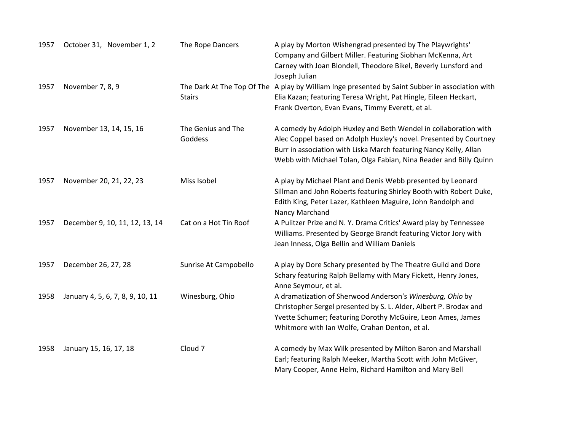| 1957 | October 31, November 1, 2        | The Rope Dancers              | A play by Morton Wishengrad presented by The Playwrights'<br>Company and Gilbert Miller. Featuring Siobhan McKenna, Art<br>Carney with Joan Blondell, Theodore Bikel, Beverly Lunsford and<br>Joseph Julian                                                                    |
|------|----------------------------------|-------------------------------|--------------------------------------------------------------------------------------------------------------------------------------------------------------------------------------------------------------------------------------------------------------------------------|
| 1957 | November 7, 8, 9                 | <b>Stairs</b>                 | The Dark At The Top Of The A play by William Inge presented by Saint Subber in association with<br>Elia Kazan; featuring Teresa Wright, Pat Hingle, Eileen Heckart,<br>Frank Overton, Evan Evans, Timmy Everett, et al.                                                        |
| 1957 | November 13, 14, 15, 16          | The Genius and The<br>Goddess | A comedy by Adolph Huxley and Beth Wendel in collaboration with<br>Alec Coppel based on Adolph Huxley's novel. Presented by Courtney<br>Burr in association with Liska March featuring Nancy Kelly, Allan<br>Webb with Michael Tolan, Olga Fabian, Nina Reader and Billy Quinn |
| 1957 | November 20, 21, 22, 23          | Miss Isobel                   | A play by Michael Plant and Denis Webb presented by Leonard<br>Sillman and John Roberts featuring Shirley Booth with Robert Duke,<br>Edith King, Peter Lazer, Kathleen Maguire, John Randolph and<br>Nancy Marchand                                                            |
| 1957 | December 9, 10, 11, 12, 13, 14   | Cat on a Hot Tin Roof         | A Pulitzer Prize and N.Y. Drama Critics' Award play by Tennessee<br>Williams. Presented by George Brandt featuring Victor Jory with<br>Jean Inness, Olga Bellin and William Daniels                                                                                            |
| 1957 | December 26, 27, 28              | Sunrise At Campobello         | A play by Dore Schary presented by The Theatre Guild and Dore<br>Schary featuring Ralph Bellamy with Mary Fickett, Henry Jones,<br>Anne Seymour, et al.                                                                                                                        |
| 1958 | January 4, 5, 6, 7, 8, 9, 10, 11 | Winesburg, Ohio               | A dramatization of Sherwood Anderson's Winesburg, Ohio by<br>Christopher Sergel presented by S. L. Alder, Albert P. Brodax and<br>Yvette Schumer; featuring Dorothy McGuire, Leon Ames, James<br>Whitmore with Ian Wolfe, Crahan Denton, et al.                                |
| 1958 | January 15, 16, 17, 18           | Cloud <sub>7</sub>            | A comedy by Max Wilk presented by Milton Baron and Marshall<br>Earl; featuring Ralph Meeker, Martha Scott with John McGiver,<br>Mary Cooper, Anne Helm, Richard Hamilton and Mary Bell                                                                                         |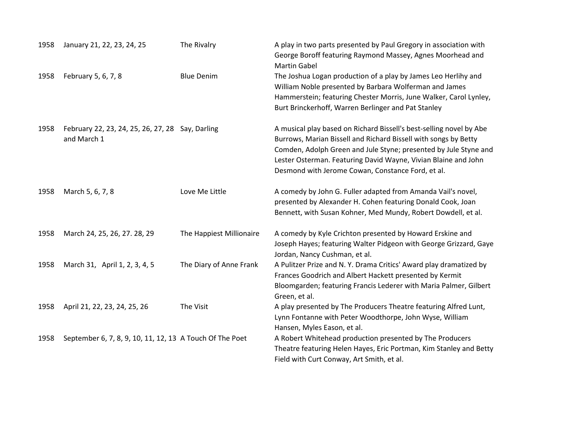| 1958 | January 21, 22, 23, 24, 25                                      | The Rivalry              | A play in two parts presented by Paul Gregory in association with<br>George Boroff featuring Raymond Massey, Agnes Moorhead and<br><b>Martin Gabel</b>                                                                                                                                                                            |
|------|-----------------------------------------------------------------|--------------------------|-----------------------------------------------------------------------------------------------------------------------------------------------------------------------------------------------------------------------------------------------------------------------------------------------------------------------------------|
| 1958 | February 5, 6, 7, 8                                             | <b>Blue Denim</b>        | The Joshua Logan production of a play by James Leo Herlihy and<br>William Noble presented by Barbara Wolferman and James<br>Hammerstein; featuring Chester Morris, June Walker, Carol Lynley,<br>Burt Brinckerhoff, Warren Berlinger and Pat Stanley                                                                              |
| 1958 | February 22, 23, 24, 25, 26, 27, 28 Say, Darling<br>and March 1 |                          | A musical play based on Richard Bissell's best-selling novel by Abe<br>Burrows, Marian Bissell and Richard Bissell with songs by Betty<br>Comden, Adolph Green and Jule Styne; presented by Jule Styne and<br>Lester Osterman. Featuring David Wayne, Vivian Blaine and John<br>Desmond with Jerome Cowan, Constance Ford, et al. |
| 1958 | March 5, 6, 7, 8                                                | Love Me Little           | A comedy by John G. Fuller adapted from Amanda Vail's novel,<br>presented by Alexander H. Cohen featuring Donald Cook, Joan<br>Bennett, with Susan Kohner, Med Mundy, Robert Dowdell, et al.                                                                                                                                      |
| 1958 | March 24, 25, 26, 27. 28, 29                                    | The Happiest Millionaire | A comedy by Kyle Crichton presented by Howard Erskine and<br>Joseph Hayes; featuring Walter Pidgeon with George Grizzard, Gaye<br>Jordan, Nancy Cushman, et al.                                                                                                                                                                   |
| 1958 | March 31, April 1, 2, 3, 4, 5                                   | The Diary of Anne Frank  | A Pulitzer Prize and N.Y. Drama Critics' Award play dramatized by<br>Frances Goodrich and Albert Hackett presented by Kermit<br>Bloomgarden; featuring Francis Lederer with Maria Palmer, Gilbert<br>Green, et al.                                                                                                                |
| 1958 | April 21, 22, 23, 24, 25, 26                                    | The Visit                | A play presented by The Producers Theatre featuring Alfred Lunt,<br>Lynn Fontanne with Peter Woodthorpe, John Wyse, William<br>Hansen, Myles Eason, et al.                                                                                                                                                                        |
| 1958 | September 6, 7, 8, 9, 10, 11, 12, 13 A Touch Of The Poet        |                          | A Robert Whitehead production presented by The Producers<br>Theatre featuring Helen Hayes, Eric Portman, Kim Stanley and Betty<br>Field with Curt Conway, Art Smith, et al.                                                                                                                                                       |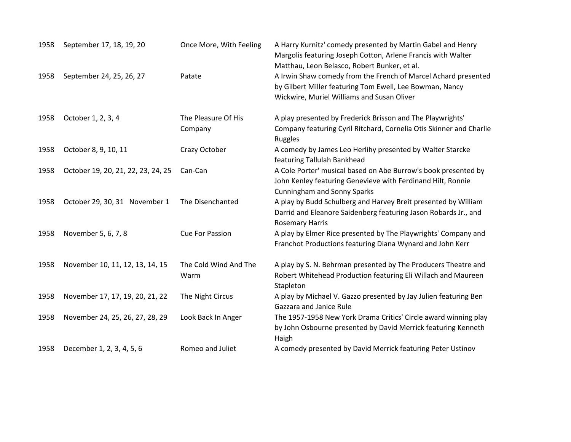| 1958 | September 17, 18, 19, 20           | Once More, With Feeling       | A Harry Kurnitz' comedy presented by Martin Gabel and Henry<br>Margolis featuring Joseph Cotton, Arlene Francis with Walter<br>Matthau, Leon Belasco, Robert Bunker, et al. |
|------|------------------------------------|-------------------------------|-----------------------------------------------------------------------------------------------------------------------------------------------------------------------------|
| 1958 | September 24, 25, 26, 27           | Patate                        | A Irwin Shaw comedy from the French of Marcel Achard presented<br>by Gilbert Miller featuring Tom Ewell, Lee Bowman, Nancy<br>Wickwire, Muriel Williams and Susan Oliver    |
| 1958 | October 1, 2, 3, 4                 | The Pleasure Of His           | A play presented by Frederick Brisson and The Playwrights'                                                                                                                  |
|      |                                    | Company                       | Company featuring Cyril Ritchard, Cornelia Otis Skinner and Charlie<br>Ruggles                                                                                              |
| 1958 | October 8, 9, 10, 11               | Crazy October                 | A comedy by James Leo Herlihy presented by Walter Starcke<br>featuring Tallulah Bankhead                                                                                    |
| 1958 | October 19, 20, 21, 22, 23, 24, 25 | Can-Can                       | A Cole Porter' musical based on Abe Burrow's book presented by<br>John Kenley featuring Genevieve with Ferdinand Hilt, Ronnie<br><b>Cunningham and Sonny Sparks</b>         |
| 1958 | October 29, 30, 31 November 1      | The Disenchanted              | A play by Budd Schulberg and Harvey Breit presented by William<br>Darrid and Eleanore Saidenberg featuring Jason Robards Jr., and<br><b>Rosemary Harris</b>                 |
| 1958 | November 5, 6, 7, 8                | <b>Cue For Passion</b>        | A play by Elmer Rice presented by The Playwrights' Company and<br>Franchot Productions featuring Diana Wynard and John Kerr                                                 |
| 1958 | November 10, 11, 12, 13, 14, 15    | The Cold Wind And The<br>Warm | A play by S. N. Behrman presented by The Producers Theatre and<br>Robert Whitehead Production featuring Eli Willach and Maureen<br>Stapleton                                |
| 1958 | November 17, 17, 19, 20, 21, 22    | The Night Circus              | A play by Michael V. Gazzo presented by Jay Julien featuring Ben<br>Gazzara and Janice Rule                                                                                 |
| 1958 | November 24, 25, 26, 27, 28, 29    | Look Back In Anger            | The 1957-1958 New York Drama Critics' Circle award winning play<br>by John Osbourne presented by David Merrick featuring Kenneth<br>Haigh                                   |
| 1958 | December 1, 2, 3, 4, 5, 6          | Romeo and Juliet              | A comedy presented by David Merrick featuring Peter Ustinov                                                                                                                 |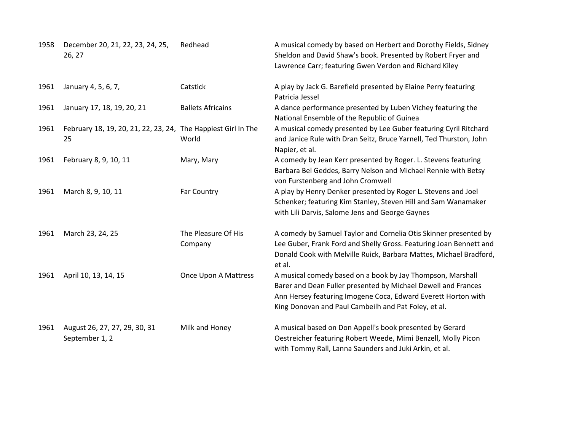| 1958 | December 20, 21, 22, 23, 24, 25,<br>26, 27                          | Redhead                        | A musical comedy by based on Herbert and Dorothy Fields, Sidney<br>Sheldon and David Shaw's book. Presented by Robert Fryer and<br>Lawrence Carr; featuring Gwen Verdon and Richard Kiley                                                            |
|------|---------------------------------------------------------------------|--------------------------------|------------------------------------------------------------------------------------------------------------------------------------------------------------------------------------------------------------------------------------------------------|
| 1961 | January 4, 5, 6, 7,                                                 | Catstick                       | A play by Jack G. Barefield presented by Elaine Perry featuring<br>Patricia Jessel                                                                                                                                                                   |
| 1961 | January 17, 18, 19, 20, 21                                          | <b>Ballets Africains</b>       | A dance performance presented by Luben Vichey featuring the<br>National Ensemble of the Republic of Guinea                                                                                                                                           |
| 1961 | February 18, 19, 20, 21, 22, 23, 24, The Happiest Girl In The<br>25 | World                          | A musical comedy presented by Lee Guber featuring Cyril Ritchard<br>and Janice Rule with Dran Seitz, Bruce Yarnell, Ted Thurston, John<br>Napier, et al.                                                                                             |
| 1961 | February 8, 9, 10, 11                                               | Mary, Mary                     | A comedy by Jean Kerr presented by Roger. L. Stevens featuring<br>Barbara Bel Geddes, Barry Nelson and Michael Rennie with Betsy<br>von Furstenberg and John Cromwell                                                                                |
| 1961 | March 8, 9, 10, 11                                                  | Far Country                    | A play by Henry Denker presented by Roger L. Stevens and Joel<br>Schenker; featuring Kim Stanley, Steven Hill and Sam Wanamaker<br>with Lili Darvis, Salome Jens and George Gaynes                                                                   |
| 1961 | March 23, 24, 25                                                    | The Pleasure Of His<br>Company | A comedy by Samuel Taylor and Cornelia Otis Skinner presented by<br>Lee Guber, Frank Ford and Shelly Gross. Featuring Joan Bennett and<br>Donald Cook with Melville Ruick, Barbara Mattes, Michael Bradford,<br>et al.                               |
| 1961 | April 10, 13, 14, 15                                                | Once Upon A Mattress           | A musical comedy based on a book by Jay Thompson, Marshall<br>Barer and Dean Fuller presented by Michael Dewell and Frances<br>Ann Hersey featuring Imogene Coca, Edward Everett Horton with<br>King Donovan and Paul Cambeilh and Pat Foley, et al. |
| 1961 | August 26, 27, 27, 29, 30, 31<br>September 1, 2                     | Milk and Honey                 | A musical based on Don Appell's book presented by Gerard<br>Oestreicher featuring Robert Weede, Mimi Benzell, Molly Picon<br>with Tommy Rall, Lanna Saunders and Juki Arkin, et al.                                                                  |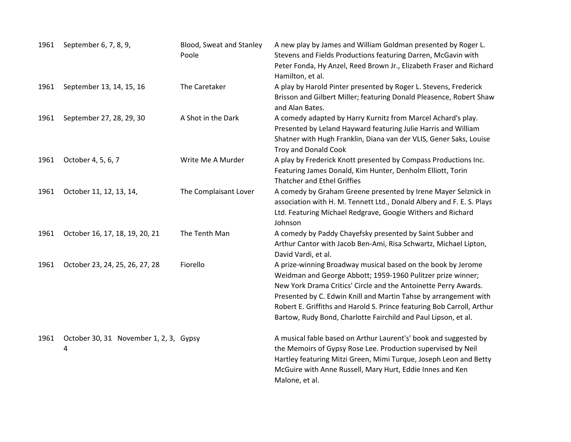| 1961 | September 6, 7, 8, 9,                       | Blood, Sweat and Stanley<br>Poole | A new play by James and William Goldman presented by Roger L.<br>Stevens and Fields Productions featuring Darren, McGavin with<br>Peter Fonda, Hy Anzel, Reed Brown Jr., Elizabeth Fraser and Richard<br>Hamilton, et al.                                                                                                                                                                                      |
|------|---------------------------------------------|-----------------------------------|----------------------------------------------------------------------------------------------------------------------------------------------------------------------------------------------------------------------------------------------------------------------------------------------------------------------------------------------------------------------------------------------------------------|
| 1961 | September 13, 14, 15, 16                    | The Caretaker                     | A play by Harold Pinter presented by Roger L. Stevens, Frederick<br>Brisson and Gilbert Miller; featuring Donald Pleasence, Robert Shaw<br>and Alan Bates.                                                                                                                                                                                                                                                     |
| 1961 | September 27, 28, 29, 30                    | A Shot in the Dark                | A comedy adapted by Harry Kurnitz from Marcel Achard's play.<br>Presented by Leland Hayward featuring Julie Harris and William<br>Shatner with Hugh Franklin, Diana van der VLIS, Gener Saks, Louise<br><b>Troy and Donald Cook</b>                                                                                                                                                                            |
| 1961 | October 4, 5, 6, 7                          | Write Me A Murder                 | A play by Frederick Knott presented by Compass Productions Inc.<br>Featuring James Donald, Kim Hunter, Denholm Elliott, Torin<br><b>Thatcher and Ethel Griffies</b>                                                                                                                                                                                                                                            |
| 1961 | October 11, 12, 13, 14,                     | The Complaisant Lover             | A comedy by Graham Greene presented by Irene Mayer Selznick in<br>association with H. M. Tennett Ltd., Donald Albery and F. E. S. Plays<br>Ltd. Featuring Michael Redgrave, Googie Withers and Richard<br>Johnson                                                                                                                                                                                              |
| 1961 | October 16, 17, 18, 19, 20, 21              | The Tenth Man                     | A comedy by Paddy Chayefsky presented by Saint Subber and<br>Arthur Cantor with Jacob Ben-Ami, Risa Schwartz, Michael Lipton,<br>David Vardi, et al.                                                                                                                                                                                                                                                           |
| 1961 | October 23, 24, 25, 26, 27, 28              | Fiorello                          | A prize-winning Broadway musical based on the book by Jerome<br>Weidman and George Abbott; 1959-1960 Pulitzer prize winner;<br>New York Drama Critics' Circle and the Antoinette Perry Awards.<br>Presented by C. Edwin Knill and Martin Tahse by arrangement with<br>Robert E. Griffiths and Harold S. Prince featuring Bob Carroll, Arthur<br>Bartow, Rudy Bond, Charlotte Fairchild and Paul Lipson, et al. |
| 1961 | October 30, 31 November 1, 2, 3, Gypsy<br>4 |                                   | A musical fable based on Arthur Laurent's' book and suggested by<br>the Memoirs of Gypsy Rose Lee. Production supervised by Neil<br>Hartley featuring Mitzi Green, Mimi Turque, Joseph Leon and Betty<br>McGuire with Anne Russell, Mary Hurt, Eddie Innes and Ken<br>Malone, et al.                                                                                                                           |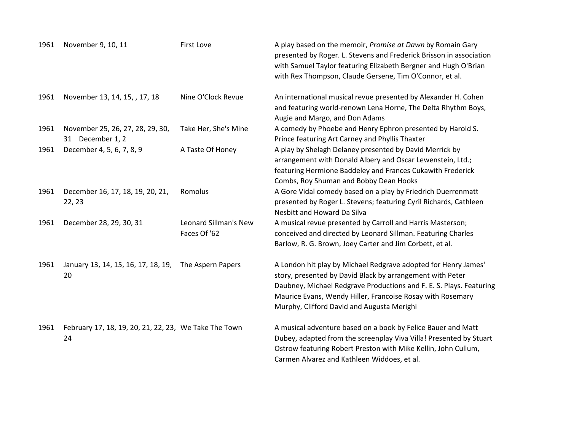| 1961 | November 9, 10, 11                                          | <b>First Love</b>                     | A play based on the memoir, Promise at Dawn by Romain Gary<br>presented by Roger. L. Stevens and Frederick Brisson in association<br>with Samuel Taylor featuring Elizabeth Bergner and Hugh O'Brian<br>with Rex Thompson, Claude Gersene, Tim O'Connor, et al.                                                |
|------|-------------------------------------------------------------|---------------------------------------|----------------------------------------------------------------------------------------------------------------------------------------------------------------------------------------------------------------------------------------------------------------------------------------------------------------|
| 1961 | November 13, 14, 15, , 17, 18                               | Nine O'Clock Revue                    | An international musical revue presented by Alexander H. Cohen<br>and featuring world-renown Lena Horne, The Delta Rhythm Boys,<br>Augie and Margo, and Don Adams                                                                                                                                              |
| 1961 | November 25, 26, 27, 28, 29, 30,<br>31 December 1, 2        | Take Her, She's Mine                  | A comedy by Phoebe and Henry Ephron presented by Harold S.<br>Prince featuring Art Carney and Phyllis Thaxter                                                                                                                                                                                                  |
| 1961 | December 4, 5, 6, 7, 8, 9                                   | A Taste Of Honey                      | A play by Shelagh Delaney presented by David Merrick by<br>arrangement with Donald Albery and Oscar Lewenstein, Ltd.;<br>featuring Hermione Baddeley and Frances Cukawith Frederick<br>Combs, Roy Shuman and Bobby Dean Hooks                                                                                  |
| 1961 | December 16, 17, 18, 19, 20, 21,<br>22, 23                  | Romolus                               | A Gore Vidal comedy based on a play by Friedrich Duerrenmatt<br>presented by Roger L. Stevens; featuring Cyril Richards, Cathleen<br><b>Nesbitt and Howard Da Silva</b>                                                                                                                                        |
| 1961 | December 28, 29, 30, 31                                     | Leonard Sillman's New<br>Faces Of '62 | A musical revue presented by Carroll and Harris Masterson;<br>conceived and directed by Leonard Sillman. Featuring Charles<br>Barlow, R. G. Brown, Joey Carter and Jim Corbett, et al.                                                                                                                         |
| 1961 | January 13, 14, 15, 16, 17, 18, 19,<br>20                   | The Aspern Papers                     | A London hit play by Michael Redgrave adopted for Henry James'<br>story, presented by David Black by arrangement with Peter<br>Daubney, Michael Redgrave Productions and F. E. S. Plays. Featuring<br>Maurice Evans, Wendy Hiller, Francoise Rosay with Rosemary<br>Murphy, Clifford David and Augusta Merighi |
| 1961 | February 17, 18, 19, 20, 21, 22, 23, We Take The Town<br>24 |                                       | A musical adventure based on a book by Felice Bauer and Matt<br>Dubey, adapted from the screenplay Viva Villa! Presented by Stuart<br>Ostrow featuring Robert Preston with Mike Kellin, John Cullum,<br>Carmen Alvarez and Kathleen Widdoes, et al.                                                            |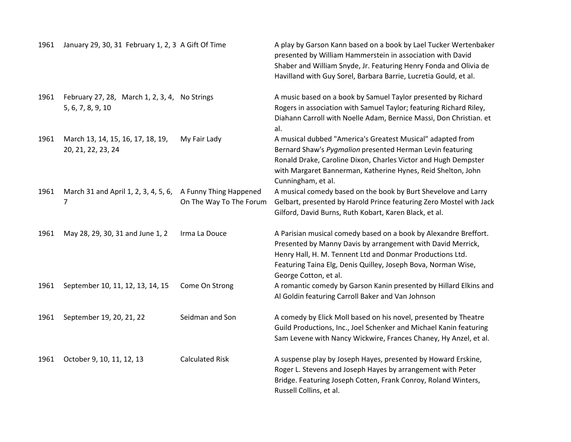| 1961 | January 29, 30, 31 February 1, 2, 3 A Gift Of Time                 |                                                   | A play by Garson Kann based on a book by Lael Tucker Wertenbaker<br>presented by William Hammerstein in association with David<br>Shaber and William Snyde, Jr. Featuring Henry Fonda and Olivia de<br>Havilland with Guy Sorel, Barbara Barrie, Lucretia Gould, et al.                |
|------|--------------------------------------------------------------------|---------------------------------------------------|----------------------------------------------------------------------------------------------------------------------------------------------------------------------------------------------------------------------------------------------------------------------------------------|
| 1961 | February 27, 28, March 1, 2, 3, 4, No Strings<br>5, 6, 7, 8, 9, 10 |                                                   | A music based on a book by Samuel Taylor presented by Richard<br>Rogers in association with Samuel Taylor; featuring Richard Riley,<br>Diahann Carroll with Noelle Adam, Bernice Massi, Don Christian. et<br>al.                                                                       |
| 1961 | March 13, 14, 15, 16, 17, 18, 19,<br>20, 21, 22, 23, 24            | My Fair Lady                                      | A musical dubbed "America's Greatest Musical" adapted from<br>Bernard Shaw's Pygmalion presented Herman Levin featuring<br>Ronald Drake, Caroline Dixon, Charles Victor and Hugh Dempster<br>with Margaret Bannerman, Katherine Hynes, Reid Shelton, John<br>Cunningham, et al.        |
| 1961 | March 31 and April 1, 2, 3, 4, 5, 6,<br>7                          | A Funny Thing Happened<br>On The Way To The Forum | A musical comedy based on the book by Burt Shevelove and Larry<br>Gelbart, presented by Harold Prince featuring Zero Mostel with Jack<br>Gilford, David Burns, Ruth Kobart, Karen Black, et al.                                                                                        |
| 1961 | May 28, 29, 30, 31 and June 1, 2                                   | Irma La Douce                                     | A Parisian musical comedy based on a book by Alexandre Breffort.<br>Presented by Manny Davis by arrangement with David Merrick,<br>Henry Hall, H. M. Tennent Ltd and Donmar Productions Ltd.<br>Featuring Taina Elg, Denis Quilley, Joseph Bova, Norman Wise,<br>George Cotton, et al. |
| 1961 | September 10, 11, 12, 13, 14, 15                                   | Come On Strong                                    | A romantic comedy by Garson Kanin presented by Hillard Elkins and<br>Al Goldin featuring Carroll Baker and Van Johnson                                                                                                                                                                 |
| 1961 | September 19, 20, 21, 22                                           | Seidman and Son                                   | A comedy by Elick Moll based on his novel, presented by Theatre<br>Guild Productions, Inc., Joel Schenker and Michael Kanin featuring<br>Sam Levene with Nancy Wickwire, Frances Chaney, Hy Anzel, et al.                                                                              |
| 1961 | October 9, 10, 11, 12, 13                                          | <b>Calculated Risk</b>                            | A suspense play by Joseph Hayes, presented by Howard Erskine,<br>Roger L. Stevens and Joseph Hayes by arrangement with Peter<br>Bridge. Featuring Joseph Cotten, Frank Conroy, Roland Winters,<br>Russell Collins, et al.                                                              |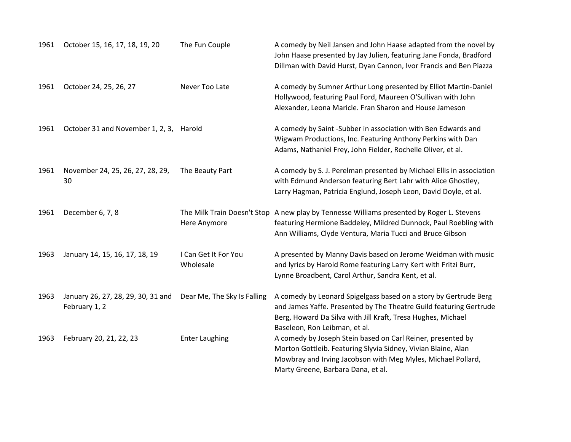| 1961 | October 15, 16, 17, 18, 19, 20                      | The Fun Couple                              | A comedy by Neil Jansen and John Haase adapted from the novel by<br>John Haase presented by Jay Julien, featuring Jane Fonda, Bradford<br>Dillman with David Hurst, Dyan Cannon, Ivor Francis and Ben Piazza                            |
|------|-----------------------------------------------------|---------------------------------------------|-----------------------------------------------------------------------------------------------------------------------------------------------------------------------------------------------------------------------------------------|
| 1961 | October 24, 25, 26, 27                              | Never Too Late                              | A comedy by Sumner Arthur Long presented by Elliot Martin-Daniel<br>Hollywood, featuring Paul Ford, Maureen O'Sullivan with John<br>Alexander, Leona Maricle. Fran Sharon and House Jameson                                             |
| 1961 | October 31 and November 1, 2, 3,                    | Harold                                      | A comedy by Saint -Subber in association with Ben Edwards and<br>Wigwam Productions, Inc. Featuring Anthony Perkins with Dan<br>Adams, Nathaniel Frey, John Fielder, Rochelle Oliver, et al.                                            |
| 1961 | November 24, 25, 26, 27, 28, 29,<br>30              | The Beauty Part                             | A comedy by S. J. Perelman presented by Michael Ellis in association<br>with Edmund Anderson featuring Bert Lahr with Alice Ghostley,<br>Larry Hagman, Patricia Englund, Joseph Leon, David Doyle, et al.                               |
| 1961 | December 6, 7, 8                                    | The Milk Train Doesn't Stop<br>Here Anymore | A new play by Tennesse Williams presented by Roger L. Stevens<br>featuring Hermione Baddeley, Mildred Dunnock, Paul Roebling with<br>Ann Williams, Clyde Ventura, Maria Tucci and Bruce Gibson                                          |
| 1963 | January 14, 15, 16, 17, 18, 19                      | I Can Get It For You<br>Wholesale           | A presented by Manny Davis based on Jerome Weidman with music<br>and lyrics by Harold Rome featuring Larry Kert with Fritzi Burr,<br>Lynne Broadbent, Carol Arthur, Sandra Kent, et al.                                                 |
| 1963 | January 26, 27, 28, 29, 30, 31 and<br>February 1, 2 | Dear Me, The Sky Is Falling                 | A comedy by Leonard Spigelgass based on a story by Gertrude Berg<br>and James Yaffe. Presented by The Theatre Guild featuring Gertrude<br>Berg, Howard Da Silva with Jill Kraft, Tresa Hughes, Michael<br>Baseleon, Ron Leibman, et al. |
| 1963 | February 20, 21, 22, 23                             | <b>Enter Laughing</b>                       | A comedy by Joseph Stein based on Carl Reiner, presented by<br>Morton Gottleib. Featuring Slyvia Sidney, Vivian Blaine, Alan<br>Mowbray and Irving Jacobson with Meg Myles, Michael Pollard,<br>Marty Greene, Barbara Dana, et al.      |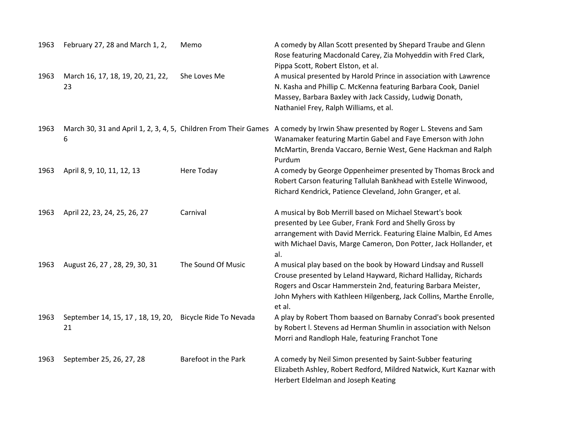| 1963 | February 27, 28 and March 1, 2,                                      | Memo                   | A comedy by Allan Scott presented by Shepard Traube and Glenn<br>Rose featuring Macdonald Carey, Zia Mohyeddin with Fred Clark,<br>Pippa Scott, Robert Elston, et al.                                                                                                             |
|------|----------------------------------------------------------------------|------------------------|-----------------------------------------------------------------------------------------------------------------------------------------------------------------------------------------------------------------------------------------------------------------------------------|
| 1963 | March 16, 17, 18, 19, 20, 21, 22,<br>23                              | She Loves Me           | A musical presented by Harold Prince in association with Lawrence<br>N. Kasha and Phillip C. McKenna featuring Barbara Cook, Daniel<br>Massey, Barbara Baxley with Jack Cassidy, Ludwig Donath,<br>Nathaniel Frey, Ralph Williams, et al.                                         |
| 1963 | March 30, 31 and April 1, 2, 3, 4, 5, Children From Their Games<br>6 |                        | A comedy by Irwin Shaw presented by Roger L. Stevens and Sam<br>Wanamaker featuring Martin Gabel and Faye Emerson with John<br>McMartin, Brenda Vaccaro, Bernie West, Gene Hackman and Ralph<br>Purdum                                                                            |
| 1963 | April 8, 9, 10, 11, 12, 13                                           | Here Today             | A comedy by George Oppenheimer presented by Thomas Brock and<br>Robert Carson featuring Tallulah Bankhead with Estelle Winwood,<br>Richard Kendrick, Patience Cleveland, John Granger, et al.                                                                                     |
| 1963 | April 22, 23, 24, 25, 26, 27                                         | Carnival               | A musical by Bob Merrill based on Michael Stewart's book<br>presented by Lee Guber, Frank Ford and Shelly Gross by<br>arrangement with David Merrick. Featuring Elaine Malbin, Ed Ames<br>with Michael Davis, Marge Cameron, Don Potter, Jack Hollander, et<br>al.                |
| 1963 | August 26, 27, 28, 29, 30, 31                                        | The Sound Of Music     | A musical play based on the book by Howard Lindsay and Russell<br>Crouse presented by Leland Hayward, Richard Halliday, Richards<br>Rogers and Oscar Hammerstein 2nd, featuring Barbara Meister,<br>John Myhers with Kathleen Hilgenberg, Jack Collins, Marthe Enrolle,<br>et al. |
| 1963 | September 14, 15, 17, 18, 19, 20,<br>21                              | Bicycle Ride To Nevada | A play by Robert Thom baased on Barnaby Conrad's book presented<br>by Robert I. Stevens ad Herman Shumlin in association with Nelson<br>Morri and Randloph Hale, featuring Franchot Tone                                                                                          |
| 1963 | September 25, 26, 27, 28                                             | Barefoot in the Park   | A comedy by Neil Simon presented by Saint-Subber featuring<br>Elizabeth Ashley, Robert Redford, Mildred Natwick, Kurt Kaznar with<br>Herbert Eldelman and Joseph Keating                                                                                                          |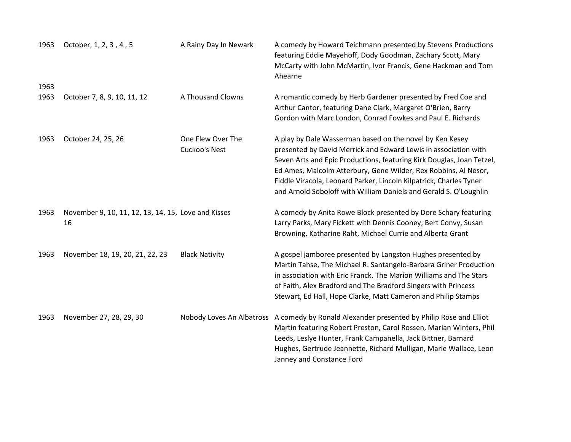| 1963 | October, 1, 2, 3, 4, 5                                    | A Rainy Day In Newark              | A comedy by Howard Teichmann presented by Stevens Productions<br>featuring Eddie Mayehoff, Dody Goodman, Zachary Scott, Mary<br>McCarty with John McMartin, Ivor Francis, Gene Hackman and Tom<br>Ahearne                                                                                                                                                                                                          |
|------|-----------------------------------------------------------|------------------------------------|--------------------------------------------------------------------------------------------------------------------------------------------------------------------------------------------------------------------------------------------------------------------------------------------------------------------------------------------------------------------------------------------------------------------|
| 1963 |                                                           |                                    |                                                                                                                                                                                                                                                                                                                                                                                                                    |
| 1963 | October 7, 8, 9, 10, 11, 12                               | A Thousand Clowns                  | A romantic comedy by Herb Gardener presented by Fred Coe and<br>Arthur Cantor, featuring Dane Clark, Margaret O'Brien, Barry<br>Gordon with Marc London, Conrad Fowkes and Paul E. Richards                                                                                                                                                                                                                        |
| 1963 | October 24, 25, 26                                        | One Flew Over The<br>Cuckoo's Nest | A play by Dale Wasserman based on the novel by Ken Kesey<br>presented by David Merrick and Edward Lewis in association with<br>Seven Arts and Epic Productions, featuring Kirk Douglas, Joan Tetzel,<br>Ed Ames, Malcolm Atterbury, Gene Wilder, Rex Robbins, Al Nesor,<br>Fiddle Viracola, Leonard Parker, Lincoln Kilpatrick, Charles Tyner<br>and Arnold Soboloff with William Daniels and Gerald S. O'Loughlin |
| 1963 | November 9, 10, 11, 12, 13, 14, 15, Love and Kisses<br>16 |                                    | A comedy by Anita Rowe Block presented by Dore Schary featuring<br>Larry Parks, Mary Fickett with Dennis Cooney, Bert Convy, Susan<br>Browning, Katharine Raht, Michael Currie and Alberta Grant                                                                                                                                                                                                                   |
| 1963 | November 18, 19, 20, 21, 22, 23                           | <b>Black Nativity</b>              | A gospel jamboree presented by Langston Hughes presented by<br>Martin Tahse, The Michael R. Santangelo-Barbara Griner Production<br>in association with Eric Franck. The Marion Williams and The Stars<br>of Faith, Alex Bradford and The Bradford Singers with Princess<br>Stewart, Ed Hall, Hope Clarke, Matt Cameron and Philip Stamps                                                                          |
| 1963 | November 27, 28, 29, 30                                   |                                    | Nobody Loves An Albatross A comedy by Ronald Alexander presented by Philip Rose and Elliot<br>Martin featuring Robert Preston, Carol Rossen, Marian Winters, Phil<br>Leeds, Leslye Hunter, Frank Campanella, Jack Bittner, Barnard<br>Hughes, Gertrude Jeannette, Richard Mulligan, Marie Wallace, Leon<br>Janney and Constance Ford                                                                               |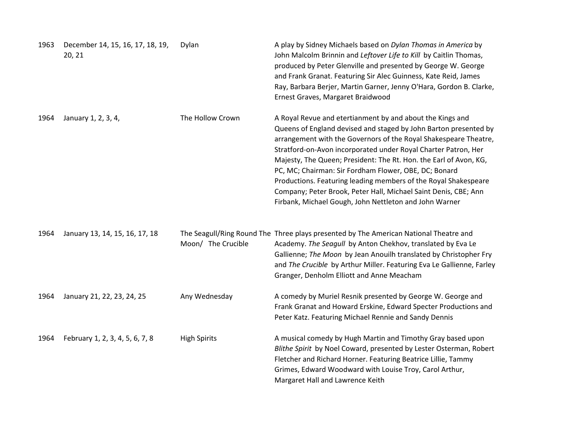| 1963 | December 14, 15, 16, 17, 18, 19,<br>20, 21 | Dylan               | A play by Sidney Michaels based on Dylan Thomas in America by<br>John Malcolm Brinnin and Leftover Life to Kill by Caitlin Thomas,<br>produced by Peter Glenville and presented by George W. George<br>and Frank Granat. Featuring Sir Alec Guinness, Kate Reid, James<br>Ray, Barbara Berjer, Martin Garner, Jenny O'Hara, Gordon B. Clarke,<br>Ernest Graves, Margaret Braidwood                                                                                                                                                                                                                |
|------|--------------------------------------------|---------------------|---------------------------------------------------------------------------------------------------------------------------------------------------------------------------------------------------------------------------------------------------------------------------------------------------------------------------------------------------------------------------------------------------------------------------------------------------------------------------------------------------------------------------------------------------------------------------------------------------|
| 1964 | January 1, 2, 3, 4,                        | The Hollow Crown    | A Royal Revue and etertianment by and about the Kings and<br>Queens of England devised and staged by John Barton presented by<br>arrangement with the Governors of the Royal Shakespeare Theatre,<br>Stratford-on-Avon incorporated under Royal Charter Patron, Her<br>Majesty, The Queen; President: The Rt. Hon. the Earl of Avon, KG,<br>PC, MC; Chairman: Sir Fordham Flower, OBE, DC; Bonard<br>Productions. Featuring leading members of the Royal Shakespeare<br>Company; Peter Brook, Peter Hall, Michael Saint Denis, CBE; Ann<br>Firbank, Michael Gough, John Nettleton and John Warner |
| 1964 | January 13, 14, 15, 16, 17, 18             | Moon/ The Crucible  | The Seagull/Ring Round The Three plays presented by The American National Theatre and<br>Academy. The Seagull by Anton Chekhov, translated by Eva Le<br>Gallienne; The Moon by Jean Anouilh translated by Christopher Fry<br>and The Crucible by Arthur Miller. Featuring Eva Le Gallienne, Farley<br>Granger, Denholm Elliott and Anne Meacham                                                                                                                                                                                                                                                   |
| 1964 | January 21, 22, 23, 24, 25                 | Any Wednesday       | A comedy by Muriel Resnik presented by George W. George and<br>Frank Granat and Howard Erskine, Edward Specter Productions and<br>Peter Katz. Featuring Michael Rennie and Sandy Dennis                                                                                                                                                                                                                                                                                                                                                                                                           |
| 1964 | February 1, 2, 3, 4, 5, 6, 7, 8            | <b>High Spirits</b> | A musical comedy by Hugh Martin and Timothy Gray based upon<br>Blithe Spirit by Noel Coward, presented by Lester Osterman, Robert<br>Fletcher and Richard Horner. Featuring Beatrice Lillie, Tammy<br>Grimes, Edward Woodward with Louise Troy, Carol Arthur,<br>Margaret Hall and Lawrence Keith                                                                                                                                                                                                                                                                                                 |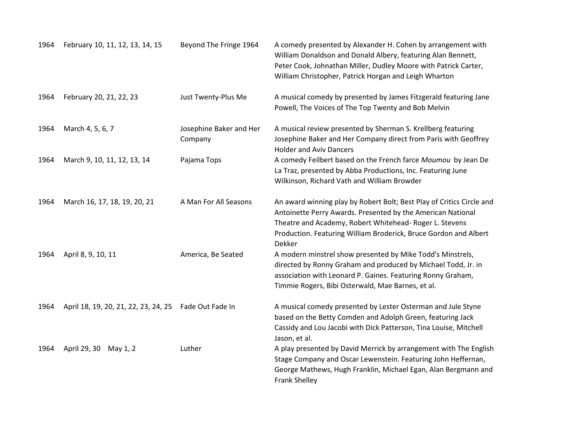| 1964 | February 10, 11, 12, 13, 14, 15      | Beyond The Fringe 1964             | A comedy presented by Alexander H. Cohen by arrangement with<br>William Donaldson and Donald Albery, featuring Alan Bennett,<br>Peter Cook, Johnathan Miller, Dudley Moore with Patrick Carter,<br>William Christopher, Patrick Horgan and Leigh Wharton                      |
|------|--------------------------------------|------------------------------------|-------------------------------------------------------------------------------------------------------------------------------------------------------------------------------------------------------------------------------------------------------------------------------|
| 1964 | February 20, 21, 22, 23              | Just Twenty-Plus Me                | A musical comedy by presented by James Fitzgerald featuring Jane<br>Powell, The Voices of The Top Twenty and Bob Melvin                                                                                                                                                       |
| 1964 | March 4, 5, 6, 7                     | Josephine Baker and Her<br>Company | A musical review presented by Sherman S. Krellberg featuring<br>Josephine Baker and Her Company direct from Paris with Geoffrey<br><b>Holder and Aviv Dancers</b>                                                                                                             |
| 1964 | March 9, 10, 11, 12, 13, 14          | Pajama Tops                        | A comedy Feilbert based on the French farce Moumou by Jean De<br>La Traz, presented by Abba Productions, Inc. Featuring June<br>Wilkinson, Richard Vath and William Browder                                                                                                   |
| 1964 | March 16, 17, 18, 19, 20, 21         | A Man For All Seasons              | An award winning play by Robert Bolt; Best Play of Critics Circle and<br>Antoinette Perry Awards. Presented by the American National<br>Theatre and Academy, Robert Whitehead- Roger L. Stevens<br>Production. Featuring William Broderick, Bruce Gordon and Albert<br>Dekker |
| 1964 | April 8, 9, 10, 11                   | America, Be Seated                 | A modern minstrel show presented by Mike Todd's Minstrels,<br>directed by Ronny Graham and produced by Michael Todd, Jr. in<br>association with Leonard P. Gaines. Featuring Ronny Graham,<br>Timmie Rogers, Bibi Osterwald, Mae Barnes, et al.                               |
| 1964 | April 18, 19, 20, 21, 22, 23, 24, 25 | Fade Out Fade In                   | A musical comedy presented by Lester Osterman and Jule Styne<br>based on the Betty Comden and Adolph Green, featuring Jack<br>Cassidy and Lou Jacobi with Dick Patterson, Tina Louise, Mitchell<br>Jason, et al.                                                              |
| 1964 | April 29, 30 May 1, 2                | Luther                             | A play presented by David Merrick by arrangement with The English<br>Stage Company and Oscar Lewenstein. Featuring John Heffernan,<br>George Mathews, Hugh Franklin, Michael Egan, Alan Bergmann and<br><b>Frank Shelley</b>                                                  |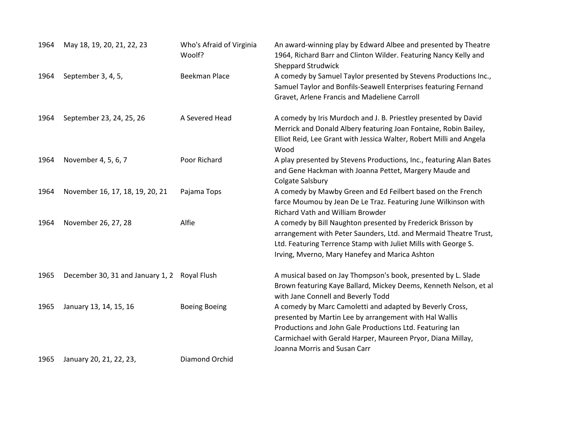| 1964 | May 18, 19, 20, 21, 22, 23       | Who's Afraid of Virginia<br>Woolf? | An award-winning play by Edward Albee and presented by Theatre<br>1964, Richard Barr and Clinton Wilder. Featuring Nancy Kelly and<br><b>Sheppard Strudwick</b>                                                                                                               |
|------|----------------------------------|------------------------------------|-------------------------------------------------------------------------------------------------------------------------------------------------------------------------------------------------------------------------------------------------------------------------------|
| 1964 | September 3, 4, 5,               | <b>Beekman Place</b>               | A comedy by Samuel Taylor presented by Stevens Productions Inc.,<br>Samuel Taylor and Bonfils-Seawell Enterprises featuring Fernand<br>Gravet, Arlene Francis and Madeliene Carroll                                                                                           |
| 1964 | September 23, 24, 25, 26         | A Severed Head                     | A comedy by Iris Murdoch and J. B. Priestley presented by David<br>Merrick and Donald Albery featuring Joan Fontaine, Robin Bailey,<br>Elliot Reid, Lee Grant with Jessica Walter, Robert Milli and Angela<br>Wood                                                            |
| 1964 | November 4, 5, 6, 7              | Poor Richard                       | A play presented by Stevens Productions, Inc., featuring Alan Bates<br>and Gene Hackman with Joanna Pettet, Margery Maude and<br>Colgate Salsbury                                                                                                                             |
| 1964 | November 16, 17, 18, 19, 20, 21  | Pajama Tops                        | A comedy by Mawby Green and Ed Feilbert based on the French<br>farce Moumou by Jean De Le Traz. Featuring June Wilkinson with<br>Richard Vath and William Browder                                                                                                             |
| 1964 | November 26, 27, 28              | Alfie                              | A comedy by Bill Naughton presented by Frederick Brisson by<br>arrangement with Peter Saunders, Ltd. and Mermaid Theatre Trust,<br>Ltd. Featuring Terrence Stamp with Juliet Mills with George S.<br>Irving, Mverno, Mary Hanefey and Marica Ashton                           |
| 1965 | December 30, 31 and January 1, 2 | Royal Flush                        | A musical based on Jay Thompson's book, presented by L. Slade<br>Brown featuring Kaye Ballard, Mickey Deems, Kenneth Nelson, et al<br>with Jane Connell and Beverly Todd                                                                                                      |
| 1965 | January 13, 14, 15, 16           | <b>Boeing Boeing</b>               | A comedy by Marc Camoletti and adapted by Beverly Cross,<br>presented by Martin Lee by arrangement with Hal Wallis<br>Productions and John Gale Productions Ltd. Featuring lan<br>Carmichael with Gerald Harper, Maureen Pryor, Diana Millay,<br>Joanna Morris and Susan Carr |
| 1965 | January 20, 21, 22, 23,          | Diamond Orchid                     |                                                                                                                                                                                                                                                                               |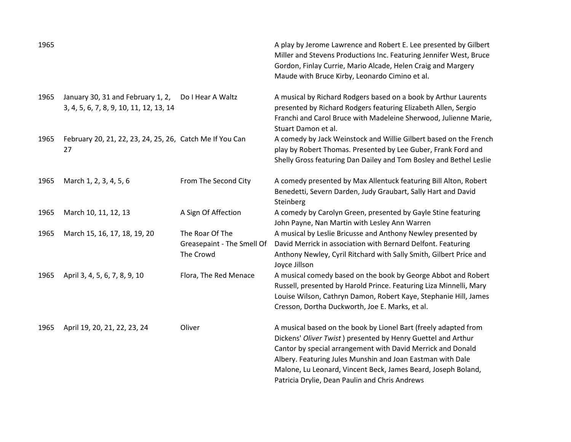| 1965 |                                                                              |                                                            | A play by Jerome Lawrence and Robert E. Lee presented by Gilbert<br>Miller and Stevens Productions Inc. Featuring Jennifer West, Bruce<br>Gordon, Finlay Currie, Mario Alcade, Helen Craig and Margery<br>Maude with Bruce Kirby, Leonardo Cimino et al.                                                                                                                        |
|------|------------------------------------------------------------------------------|------------------------------------------------------------|---------------------------------------------------------------------------------------------------------------------------------------------------------------------------------------------------------------------------------------------------------------------------------------------------------------------------------------------------------------------------------|
| 1965 | January 30, 31 and February 1, 2,<br>3, 4, 5, 6, 7, 8, 9, 10, 11, 12, 13, 14 | Do I Hear A Waltz                                          | A musical by Richard Rodgers based on a book by Arthur Laurents<br>presented by Richard Rodgers featuring Elizabeth Allen, Sergio<br>Franchi and Carol Bruce with Madeleine Sherwood, Julienne Marie,<br>Stuart Damon et al.                                                                                                                                                    |
| 1965 | February 20, 21, 22, 23, 24, 25, 26, Catch Me If You Can<br>27               |                                                            | A comedy by Jack Weinstock and Willie Gilbert based on the French<br>play by Robert Thomas. Presented by Lee Guber, Frank Ford and<br>Shelly Gross featuring Dan Dailey and Tom Bosley and Bethel Leslie                                                                                                                                                                        |
| 1965 | March 1, 2, 3, 4, 5, 6                                                       | From The Second City                                       | A comedy presented by Max Allentuck featuring Bill Alton, Robert<br>Benedetti, Severn Darden, Judy Graubart, Sally Hart and David<br>Steinberg                                                                                                                                                                                                                                  |
| 1965 | March 10, 11, 12, 13                                                         | A Sign Of Affection                                        | A comedy by Carolyn Green, presented by Gayle Stine featuring<br>John Payne, Nan Martin with Lesley Ann Warren                                                                                                                                                                                                                                                                  |
| 1965 | March 15, 16, 17, 18, 19, 20                                                 | The Roar Of The<br>Greasepaint - The Smell Of<br>The Crowd | A musical by Leslie Bricusse and Anthony Newley presented by<br>David Merrick in association with Bernard Delfont. Featuring<br>Anthony Newley, Cyril Ritchard with Sally Smith, Gilbert Price and<br>Joyce Jillson                                                                                                                                                             |
| 1965 | April 3, 4, 5, 6, 7, 8, 9, 10                                                | Flora, The Red Menace                                      | A musical comedy based on the book by George Abbot and Robert<br>Russell, presented by Harold Prince. Featuring Liza Minnelli, Mary<br>Louise Wilson, Cathryn Damon, Robert Kaye, Stephanie Hill, James<br>Cresson, Dortha Duckworth, Joe E. Marks, et al.                                                                                                                      |
| 1965 | April 19, 20, 21, 22, 23, 24                                                 | Oliver                                                     | A musical based on the book by Lionel Bart (freely adapted from<br>Dickens' Oliver Twist) presented by Henry Guettel and Arthur<br>Cantor by special arrangement with David Merrick and Donald<br>Albery. Featuring Jules Munshin and Joan Eastman with Dale<br>Malone, Lu Leonard, Vincent Beck, James Beard, Joseph Boland,<br>Patricia Drylie, Dean Paulin and Chris Andrews |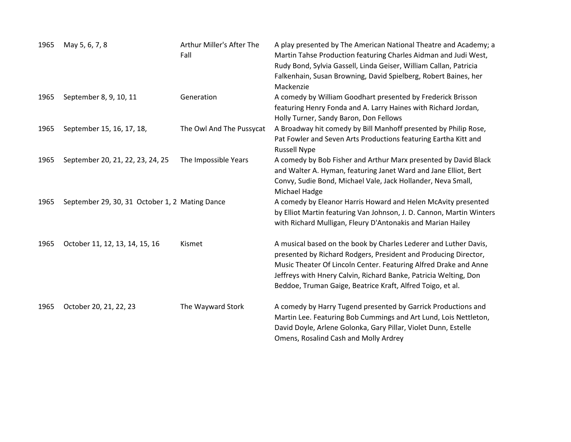| 1965 | May 5, 6, 7, 8                                 | Arthur Miller's After The<br>Fall | A play presented by The American National Theatre and Academy; a<br>Martin Tahse Production featuring Charles Aidman and Judi West,<br>Rudy Bond, Sylvia Gassell, Linda Geiser, William Callan, Patricia<br>Falkenhain, Susan Browning, David Spielberg, Robert Baines, her<br>Mackenzie                                                  |
|------|------------------------------------------------|-----------------------------------|-------------------------------------------------------------------------------------------------------------------------------------------------------------------------------------------------------------------------------------------------------------------------------------------------------------------------------------------|
| 1965 | September 8, 9, 10, 11                         | Generation                        | A comedy by William Goodhart presented by Frederick Brisson<br>featuring Henry Fonda and A. Larry Haines with Richard Jordan,<br>Holly Turner, Sandy Baron, Don Fellows                                                                                                                                                                   |
| 1965 | September 15, 16, 17, 18,                      | The Owl And The Pussycat          | A Broadway hit comedy by Bill Manhoff presented by Philip Rose,<br>Pat Fowler and Seven Arts Productions featuring Eartha Kitt and<br><b>Russell Nype</b>                                                                                                                                                                                 |
| 1965 | September 20, 21, 22, 23, 24, 25               | The Impossible Years              | A comedy by Bob Fisher and Arthur Marx presented by David Black<br>and Walter A. Hyman, featuring Janet Ward and Jane Elliot, Bert<br>Convy, Sudie Bond, Michael Vale, Jack Hollander, Neva Small,<br>Michael Hadge                                                                                                                       |
| 1965 | September 29, 30, 31 October 1, 2 Mating Dance |                                   | A comedy by Eleanor Harris Howard and Helen McAvity presented<br>by Elliot Martin featuring Van Johnson, J. D. Cannon, Martin Winters<br>with Richard Mulligan, Fleury D'Antonakis and Marian Hailey                                                                                                                                      |
| 1965 | October 11, 12, 13, 14, 15, 16                 | Kismet                            | A musical based on the book by Charles Lederer and Luther Davis,<br>presented by Richard Rodgers, President and Producing Director,<br>Music Theater Of Lincoln Center. Featuring Alfred Drake and Anne<br>Jeffreys with Hnery Calvin, Richard Banke, Patricia Welting, Don<br>Beddoe, Truman Gaige, Beatrice Kraft, Alfred Toigo, et al. |
| 1965 | October 20, 21, 22, 23                         | The Wayward Stork                 | A comedy by Harry Tugend presented by Garrick Productions and<br>Martin Lee. Featuring Bob Cummings and Art Lund, Lois Nettleton,<br>David Doyle, Arlene Golonka, Gary Pillar, Violet Dunn, Estelle<br>Omens, Rosalind Cash and Molly Ardrey                                                                                              |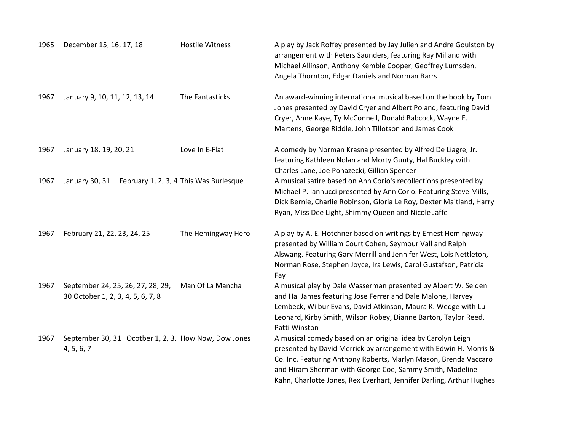| 1965 | December 15, 16, 17, 18                                                | <b>Hostile Witness</b>                 | A play by Jack Roffey presented by Jay Julien and Andre Goulston by<br>arrangement with Peters Saunders, featuring Ray Milland with<br>Michael Allinson, Anthony Kemble Cooper, Geoffrey Lumsden,<br>Angela Thornton, Edgar Daniels and Norman Barrs                                                                                    |
|------|------------------------------------------------------------------------|----------------------------------------|-----------------------------------------------------------------------------------------------------------------------------------------------------------------------------------------------------------------------------------------------------------------------------------------------------------------------------------------|
| 1967 | January 9, 10, 11, 12, 13, 14                                          | The Fantasticks                        | An award-winning international musical based on the book by Tom<br>Jones presented by David Cryer and Albert Poland, featuring David<br>Cryer, Anne Kaye, Ty McConnell, Donald Babcock, Wayne E.<br>Martens, George Riddle, John Tillotson and James Cook                                                                               |
| 1967 | January 18, 19, 20, 21                                                 | Love In E-Flat                         | A comedy by Norman Krasna presented by Alfred De Liagre, Jr.<br>featuring Kathleen Nolan and Morty Gunty, Hal Buckley with<br>Charles Lane, Joe Ponazecki, Gillian Spencer                                                                                                                                                              |
| 1967 | January 30, 31                                                         | February 1, 2, 3, 4 This Was Burlesque | A musical satire based on Ann Corio's recollections presented by<br>Michael P. Iannucci presented by Ann Corio. Featuring Steve Mills,<br>Dick Bernie, Charlie Robinson, Gloria Le Roy, Dexter Maitland, Harry<br>Ryan, Miss Dee Light, Shimmy Queen and Nicole Jaffe                                                                   |
| 1967 | February 21, 22, 23, 24, 25                                            | The Hemingway Hero                     | A play by A. E. Hotchner based on writings by Ernest Hemingway<br>presented by William Court Cohen, Seymour Vall and Ralph<br>Alswang. Featuring Gary Merrill and Jennifer West, Lois Nettleton,<br>Norman Rose, Stephen Joyce, Ira Lewis, Carol Gustafson, Patricia<br>Fay                                                             |
| 1967 | September 24, 25, 26, 27, 28, 29,<br>30 October 1, 2, 3, 4, 5, 6, 7, 8 | Man Of La Mancha                       | A musical play by Dale Wasserman presented by Albert W. Selden<br>and Hal James featuring Jose Ferrer and Dale Malone, Harvey<br>Lembeck, Wilbur Evans, David Atkinson, Maura K. Wedge with Lu<br>Leonard, Kirby Smith, Wilson Robey, Dianne Barton, Taylor Reed,<br>Patti Winston                                                      |
| 1967 | September 30, 31 Ocotber 1, 2, 3, How Now, Dow Jones<br>4, 5, 6, 7     |                                        | A musical comedy based on an original idea by Carolyn Leigh<br>presented by David Merrick by arrangement with Edwin H. Morris &<br>Co. Inc. Featuring Anthony Roberts, Marlyn Mason, Brenda Vaccaro<br>and Hiram Sherman with George Coe, Sammy Smith, Madeline<br>Kahn, Charlotte Jones, Rex Everhart, Jennifer Darling, Arthur Hughes |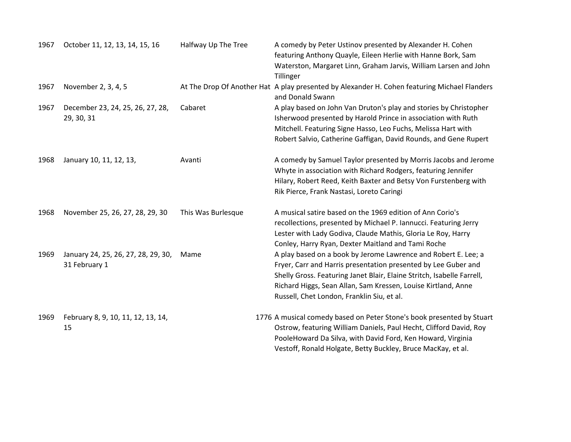| 1967 | October 11, 12, 13, 14, 15, 16                       | Halfway Up The Tree | A comedy by Peter Ustinov presented by Alexander H. Cohen<br>featuring Anthony Quayle, Eileen Herlie with Hanne Bork, Sam<br>Waterston, Margaret Linn, Graham Jarvis, William Larsen and John<br>Tillinger                                                                                                                |
|------|------------------------------------------------------|---------------------|---------------------------------------------------------------------------------------------------------------------------------------------------------------------------------------------------------------------------------------------------------------------------------------------------------------------------|
| 1967 | November 2, 3, 4, 5                                  |                     | At The Drop Of Another Hat A play presented by Alexander H. Cohen featuring Michael Flanders<br>and Donald Swann                                                                                                                                                                                                          |
| 1967 | December 23, 24, 25, 26, 27, 28,<br>29, 30, 31       | Cabaret             | A play based on John Van Druton's play and stories by Christopher<br>Isherwood presented by Harold Prince in association with Ruth<br>Mitchell. Featuring Signe Hasso, Leo Fuchs, Melissa Hart with<br>Robert Salvio, Catherine Gaffigan, David Rounds, and Gene Rupert                                                   |
| 1968 | January 10, 11, 12, 13,                              | Avanti              | A comedy by Samuel Taylor presented by Morris Jacobs and Jerome<br>Whyte in association with Richard Rodgers, featuring Jennifer<br>Hilary, Robert Reed, Keith Baxter and Betsy Von Furstenberg with<br>Rik Pierce, Frank Nastasi, Loreto Caringi                                                                         |
| 1968 | November 25, 26, 27, 28, 29, 30                      | This Was Burlesque  | A musical satire based on the 1969 edition of Ann Corio's<br>recollections, presented by Michael P. Iannucci. Featuring Jerry<br>Lester with Lady Godiva, Claude Mathis, Gloria Le Roy, Harry<br>Conley, Harry Ryan, Dexter Maitland and Tami Roche                                                                       |
| 1969 | January 24, 25, 26, 27, 28, 29, 30,<br>31 February 1 | Mame                | A play based on a book by Jerome Lawrence and Robert E. Lee; a<br>Fryer, Carr and Harris presentation presented by Lee Guber and<br>Shelly Gross. Featuring Janet Blair, Elaine Stritch, Isabelle Farrell,<br>Richard Higgs, Sean Allan, Sam Kressen, Louise Kirtland, Anne<br>Russell, Chet London, Franklin Siu, et al. |
| 1969 | February 8, 9, 10, 11, 12, 13, 14,<br>15             |                     | 1776 A musical comedy based on Peter Stone's book presented by Stuart<br>Ostrow, featuring William Daniels, Paul Hecht, Clifford David, Roy<br>PooleHoward Da Silva, with David Ford, Ken Howard, Virginia<br>Vestoff, Ronald Holgate, Betty Buckley, Bruce MacKay, et al.                                                |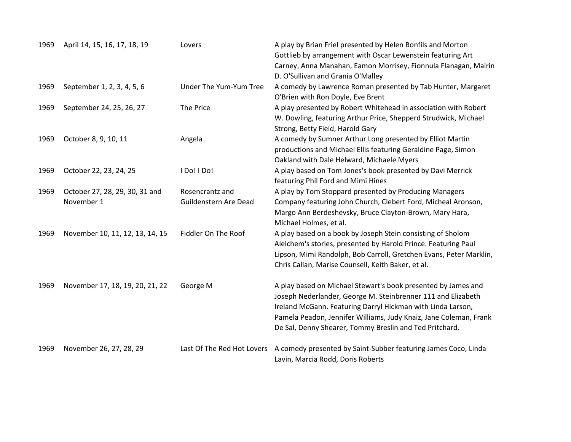| 1969 | April 14, 15, 16, 17, 18, 19                 | Lovers                                   | A play by Brian Friel presented by Helen Bonfils and Morton<br>Gottlieb by arrangement with Oscar Lewenstein featuring Art                                                                                                                                                                                                   |
|------|----------------------------------------------|------------------------------------------|------------------------------------------------------------------------------------------------------------------------------------------------------------------------------------------------------------------------------------------------------------------------------------------------------------------------------|
|      |                                              |                                          | Carney, Anna Manahan, Eamon Morrisey, Fionnula Flanagan, Mairin<br>D. O'Sullivan and Grania O'Malley                                                                                                                                                                                                                         |
| 1969 | September 1, 2, 3, 4, 5, 6                   | Under The Yum-Yum Tree                   | A comedy by Lawrence Roman presented by Tab Hunter, Margaret<br>O'Brien with Ron Doyle, Eve Brent                                                                                                                                                                                                                            |
| 1969 | September 24, 25, 26, 27                     | The Price                                | A play presented by Robert Whitehead in association with Robert<br>W. Dowling, featuring Arthur Price, Shepperd Strudwick, Michael                                                                                                                                                                                           |
| 1969 | October 8, 9, 10, 11                         | Angela                                   | Strong, Betty Field, Harold Gary<br>A comedy by Sumner Arthur Long presented by Elliot Martin<br>productions and Michael Ellis featuring Geraldine Page, Simon<br>Oakland with Dale Helward, Michaele Myers                                                                                                                  |
| 1969 | October 22, 23, 24, 25                       | I Do! I Do!                              | A play based on Tom Jones's book presented by Davi Merrick<br>featuring Phil Ford and Mimi Hines                                                                                                                                                                                                                             |
| 1969 | October 27, 28, 29, 30, 31 and<br>November 1 | Rosencrantz and<br>Guildenstern Are Dead | A play by Tom Stoppard presented by Producing Managers<br>Company featuring John Church, Clebert Ford, Micheal Aronson,<br>Margo Ann Berdeshevsky, Bruce Clayton-Brown, Mary Hara,<br>Michael Holmes, et al.                                                                                                                 |
| 1969 | November 10, 11, 12, 13, 14, 15              | Fiddler On The Roof                      | A play based on a book by Joseph Stein consisting of Sholom<br>Aleichem's stories, presented by Harold Prince. Featuring Paul<br>Lipson, Mimi Randolph, Bob Carroll, Gretchen Evans, Peter Marklin,<br>Chris Callan, Marise Counsell, Keith Baker, et al.                                                                    |
| 1969 | November 17, 18, 19, 20, 21, 22              | George M                                 | A play based on Michael Stewart's book presented by James and<br>Joseph Nederlander, George M. Steinbrenner 111 and Elizabeth<br>Ireland McGann. Featuring Darryl Hickman with Linda Larson,<br>Pamela Peadon, Jennifer Williams, Judy Knaiz, Jane Coleman, Frank<br>De Sal, Denny Shearer, Tommy Breslin and Ted Pritchard. |
| 1969 | November 26, 27, 28, 29                      | Last Of The Red Hot Lovers               | A comedy presented by Saint-Subber featuring James Coco, Linda<br>Lavin, Marcia Rodd, Doris Roberts                                                                                                                                                                                                                          |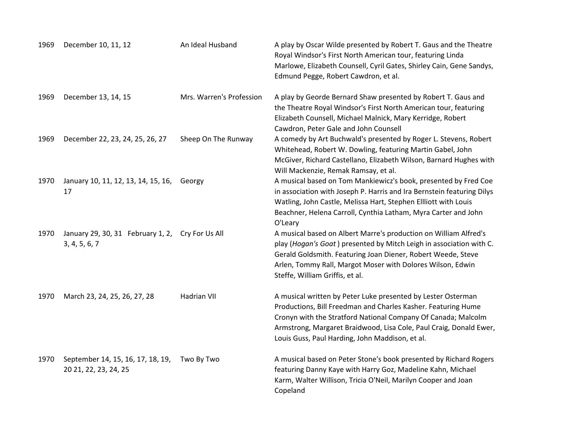| 1969 | December 10, 11, 12                                        | An Ideal Husband         | A play by Oscar Wilde presented by Robert T. Gaus and the Theatre<br>Royal Windsor's First North American tour, featuring Linda<br>Marlowe, Elizabeth Counsell, Cyril Gates, Shirley Cain, Gene Sandys,<br>Edmund Pegge, Robert Cawdron, et al.                                                                         |
|------|------------------------------------------------------------|--------------------------|-------------------------------------------------------------------------------------------------------------------------------------------------------------------------------------------------------------------------------------------------------------------------------------------------------------------------|
| 1969 | December 13, 14, 15                                        | Mrs. Warren's Profession | A play by Georde Bernard Shaw presented by Robert T. Gaus and<br>the Theatre Royal Windsor's First North American tour, featuring<br>Elizabeth Counsell, Michael Malnick, Mary Kerridge, Robert<br>Cawdron, Peter Gale and John Counsell                                                                                |
| 1969 | December 22, 23, 24, 25, 26, 27                            | Sheep On The Runway      | A comedy by Art Buchwald's presented by Roger L. Stevens, Robert<br>Whitehead, Robert W. Dowling, featuring Martin Gabel, John<br>McGiver, Richard Castellano, Elizabeth Wilson, Barnard Hughes with<br>Will Mackenzie, Remak Ramsay, et al.                                                                            |
| 1970 | January 10, 11, 12, 13, 14, 15, 16,<br>17                  | Georgy                   | A musical based on Tom Mankiewicz's book, presented by Fred Coe<br>in association with Joseph P. Harris and Ira Bernstein featuring Dilys<br>Watling, John Castle, Melissa Hart, Stephen Ellliott with Louis<br>Beachner, Helena Carroll, Cynthia Latham, Myra Carter and John<br>O'Leary                               |
| 1970 | January 29, 30, 31 February 1, 2,<br>3, 4, 5, 6, 7         | Cry For Us All           | A musical based on Albert Marre's production on William Alfred's<br>play (Hogan's Goat) presented by Mitch Leigh in association with C.<br>Gerald Goldsmith. Featuring Joan Diener, Robert Weede, Steve<br>Arlen, Tommy Rall, Margot Moser with Dolores Wilson, Edwin<br>Steffe, William Griffis, et al.                |
| 1970 | March 23, 24, 25, 26, 27, 28                               | Hadrian VII              | A musical written by Peter Luke presented by Lester Osterman<br>Productions, Bill Freedman and Charles Kasher. Featuring Hume<br>Cronyn with the Stratford National Company Of Canada; Malcolm<br>Armstrong, Margaret Braidwood, Lisa Cole, Paul Craig, Donald Ewer,<br>Louis Guss, Paul Harding, John Maddison, et al. |
| 1970 | September 14, 15, 16, 17, 18, 19,<br>20 21, 22, 23, 24, 25 | Two By Two               | A musical based on Peter Stone's book presented by Richard Rogers<br>featuring Danny Kaye with Harry Goz, Madeline Kahn, Michael<br>Karm, Walter Willison, Tricia O'Neil, Marilyn Cooper and Joan<br>Copeland                                                                                                           |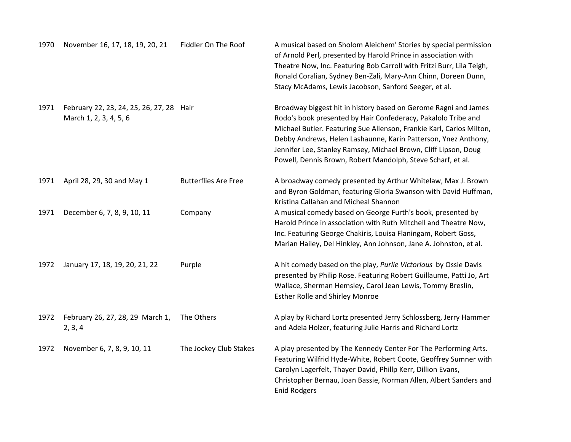| 1970 | November 16, 17, 18, 19, 20, 21                                    | Fiddler On The Roof         | A musical based on Sholom Aleichem' Stories by special permission<br>of Arnold Perl, presented by Harold Prince in association with<br>Theatre Now, Inc. Featuring Bob Carroll with Fritzi Burr, Lila Teigh,<br>Ronald Coralian, Sydney Ben-Zali, Mary-Ann Chinn, Doreen Dunn,<br>Stacy McAdams, Lewis Jacobson, Sanford Seeger, et al.                                                                      |
|------|--------------------------------------------------------------------|-----------------------------|--------------------------------------------------------------------------------------------------------------------------------------------------------------------------------------------------------------------------------------------------------------------------------------------------------------------------------------------------------------------------------------------------------------|
| 1971 | February 22, 23, 24, 25, 26, 27, 28 Hair<br>March 1, 2, 3, 4, 5, 6 |                             | Broadway biggest hit in history based on Gerome Ragni and James<br>Rodo's book presented by Hair Confederacy, Pakalolo Tribe and<br>Michael Butler. Featuring Sue Allenson, Frankie Karl, Carlos Milton,<br>Debby Andrews, Helen Lashaunne, Karin Patterson, Ynez Anthony,<br>Jennifer Lee, Stanley Ramsey, Michael Brown, Cliff Lipson, Doug<br>Powell, Dennis Brown, Robert Mandolph, Steve Scharf, et al. |
| 1971 | April 28, 29, 30 and May 1                                         | <b>Butterflies Are Free</b> | A broadway comedy presented by Arthur Whitelaw, Max J. Brown<br>and Byron Goldman, featuring Gloria Swanson with David Huffman,<br>Kristina Callahan and Micheal Shannon                                                                                                                                                                                                                                     |
| 1971 | December 6, 7, 8, 9, 10, 11                                        | Company                     | A musical comedy based on George Furth's book, presented by<br>Harold Prince in association with Ruth Mitchell and Theatre Now,<br>Inc. Featuring George Chakiris, Louisa Flaningam, Robert Goss,<br>Marian Hailey, Del Hinkley, Ann Johnson, Jane A. Johnston, et al.                                                                                                                                       |
| 1972 | January 17, 18, 19, 20, 21, 22                                     | Purple                      | A hit comedy based on the play, Purlie Victorious by Ossie Davis<br>presented by Philip Rose. Featuring Robert Guillaume, Patti Jo, Art<br>Wallace, Sherman Hemsley, Carol Jean Lewis, Tommy Breslin,<br><b>Esther Rolle and Shirley Monroe</b>                                                                                                                                                              |
| 1972 | February 26, 27, 28, 29 March 1,<br>2, 3, 4                        | The Others                  | A play by Richard Lortz presented Jerry Schlossberg, Jerry Hammer<br>and Adela Holzer, featuring Julie Harris and Richard Lortz                                                                                                                                                                                                                                                                              |
| 1972 | November 6, 7, 8, 9, 10, 11                                        | The Jockey Club Stakes      | A play presented by The Kennedy Center For The Performing Arts.<br>Featuring Wilfrid Hyde-White, Robert Coote, Geoffrey Sumner with<br>Carolyn Lagerfelt, Thayer David, Phillp Kerr, Dillion Evans,<br>Christopher Bernau, Joan Bassie, Norman Allen, Albert Sanders and<br><b>Enid Rodgers</b>                                                                                                              |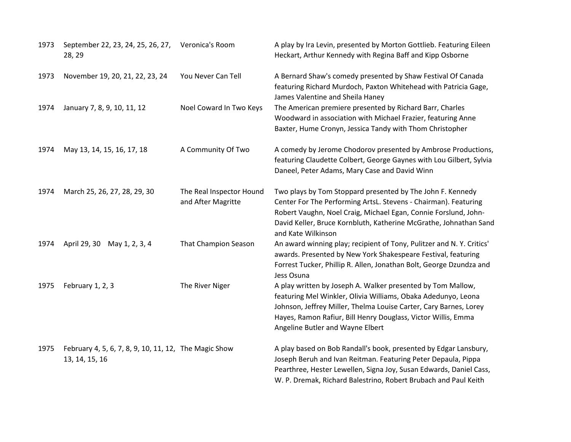| 1973 | September 22, 23, 24, 25, 26, 27,<br>28, 29                             | Veronica's Room                                | A play by Ira Levin, presented by Morton Gottlieb. Featuring Eileen<br>Heckart, Arthur Kennedy with Regina Baff and Kipp Osborne                                                                                                                                                                       |
|------|-------------------------------------------------------------------------|------------------------------------------------|--------------------------------------------------------------------------------------------------------------------------------------------------------------------------------------------------------------------------------------------------------------------------------------------------------|
| 1973 | November 19, 20, 21, 22, 23, 24                                         | You Never Can Tell                             | A Bernard Shaw's comedy presented by Shaw Festival Of Canada<br>featuring Richard Murdoch, Paxton Whitehead with Patricia Gage,<br>James Valentine and Sheila Haney                                                                                                                                    |
| 1974 | January 7, 8, 9, 10, 11, 12                                             | Noel Coward In Two Keys                        | The American premiere presented by Richard Barr, Charles<br>Woodward in association with Michael Frazier, featuring Anne<br>Baxter, Hume Cronyn, Jessica Tandy with Thom Christopher                                                                                                                   |
| 1974 | May 13, 14, 15, 16, 17, 18                                              | A Community Of Two                             | A comedy by Jerome Chodorov presented by Ambrose Productions,<br>featuring Claudette Colbert, George Gaynes with Lou Gilbert, Sylvia<br>Daneel, Peter Adams, Mary Case and David Winn                                                                                                                  |
| 1974 | March 25, 26, 27, 28, 29, 30                                            | The Real Inspector Hound<br>and After Magritte | Two plays by Tom Stoppard presented by The John F. Kennedy<br>Center For The Performing ArtsL. Stevens - Chairman). Featuring<br>Robert Vaughn, Noel Craig, Michael Egan, Connie Forslund, John-<br>David Keller, Bruce Kornbluth, Katherine McGrathe, Johnathan Sand<br>and Kate Wilkinson            |
| 1974 | April 29, 30<br>May 1, 2, 3, 4                                          | That Champion Season                           | An award winning play; recipient of Tony, Pulitzer and N.Y. Critics'<br>awards. Presented by New York Shakespeare Festival, featuring<br>Forrest Tucker, Phillip R. Allen, Jonathan Bolt, George Dzundza and<br>Jess Osuna                                                                             |
| 1975 | February 1, 2, 3                                                        | The River Niger                                | A play written by Joseph A. Walker presented by Tom Mallow,<br>featuring Mel Winkler, Olivia Williams, Obaka Adedunyo, Leona<br>Johnson, Jeffrey Miller, Thelma Louise Carter, Cary Barnes, Lorey<br>Hayes, Ramon Rafiur, Bill Henry Douglass, Victor Willis, Emma<br>Angeline Butler and Wayne Elbert |
| 1975 | February 4, 5, 6, 7, 8, 9, 10, 11, 12, The Magic Show<br>13, 14, 15, 16 |                                                | A play based on Bob Randall's book, presented by Edgar Lansbury,<br>Joseph Beruh and Ivan Reitman. Featuring Peter Depaula, Pippa<br>Pearthree, Hester Lewellen, Signa Joy, Susan Edwards, Daniel Cass,<br>W. P. Dremak, Richard Balestrino, Robert Brubach and Paul Keith                             |